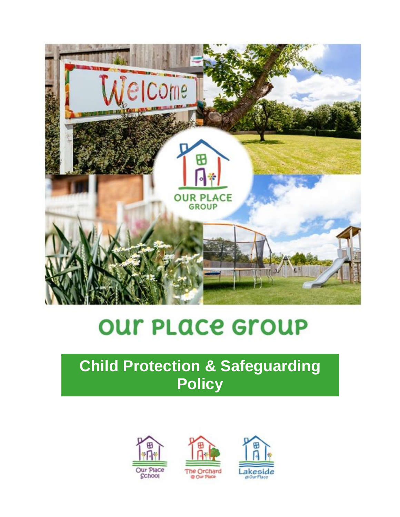

# **OUT PLACE GrOUP**

# **Child Protection & Safeguarding Policy**



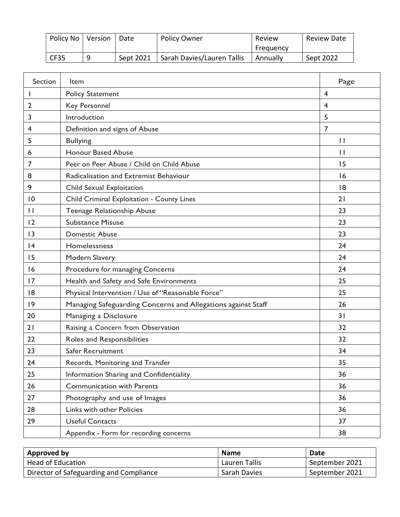| Policy No   Version |   | ' Date    | <b>Policy Owner</b>        | Review    | <b>Review Date</b> |
|---------------------|---|-----------|----------------------------|-----------|--------------------|
|                     |   |           |                            | Freauency |                    |
| CF35                | Q | Sept 2021 | Sarah Davies/Lauren Tallis | Annually  | Sept 2022          |

| Section      | ltem                                                         | Page           |
|--------------|--------------------------------------------------------------|----------------|
|              | <b>Policy Statement</b>                                      | 4              |
| 2            | Key Personnel                                                | 4              |
| 3            | Introduction                                                 | 5              |
| 4            | Definition and signs of Abuse                                | $\overline{7}$ |
| 5            | <b>Bullying</b>                                              | $\mathbf{I}$   |
| 6            | <b>Honour Based Abuse</b>                                    | $\mathbf{I}$   |
| 7            | Peer on Peer Abuse / Child on Child Abuse                    | 15             |
| 8            | Radicalisation and Extremist Behaviour                       | 16             |
| 9            | Child Sexual Exploitation                                    | 18             |
| 10           | Child Criminal Exploitation - County Lines                   | 21             |
| $\mathbf{H}$ | Teenage Relationship Abuse                                   | 23             |
| 12           | <b>Substance Misuse</b>                                      | 23             |
| 13           | <b>Domestic Abuse</b>                                        | 23             |
| 4            | Homelessness                                                 | 24             |
| 15           | <b>Modern Slavery</b>                                        | 24             |
| 16           | Procedure for managing Concerns                              | 24             |
| 17           | Health and Safety and Safe Environments                      | 25             |
| 8            | Physical Intervention / Use of "Reasonable Force"            | 25             |
| 19           | Managing Safeguarding Concerns and Allegations against Staff | 26             |
| 20           | Managing a Disclosure                                        | 31             |
| 21           | Raising a Concern from Observation                           | 32             |
| 22           | Roles and Responsibilities                                   | 32             |
| 23           | <b>Safer Recruitment</b>                                     | 34             |
| 24           | Records, Monitoring and Transfer                             | 35             |
| 25           | Information Sharing and Confidentiality                      | 36             |
| 26           | <b>Communication with Parents</b>                            | 36             |
| 27           | Photography and use of Images                                | 36             |
| 28           | Links with other Policies                                    | 36             |
| 29           | <b>Useful Contacts</b>                                       | 37             |
|              | Appendix - Form for recording concerns                       | 38             |

| Approved by                             | <b>Name</b>   | Date           |
|-----------------------------------------|---------------|----------------|
| Head of Education                       | Lauren Tallis | September 2021 |
| Director of Safeguarding and Compliance | Sarah Davies  | September 2021 |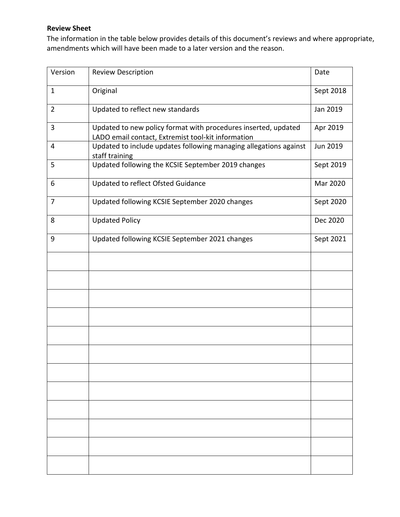#### **Review Sheet**

The information in the table below provides details of this document's reviews and where appropriate, amendments which will have been made to a later version and the reason.

| Version        | <b>Review Description</b>                                                                                            | Date            |
|----------------|----------------------------------------------------------------------------------------------------------------------|-----------------|
| $\mathbf{1}$   | Original                                                                                                             | Sept 2018       |
| $\overline{2}$ | Updated to reflect new standards                                                                                     | Jan 2019        |
| 3              | Updated to new policy format with procedures inserted, updated<br>LADO email contact, Extremist tool-kit information | Apr 2019        |
| 4              | Updated to include updates following managing allegations against<br>staff training                                  | <b>Jun 2019</b> |
| 5              | Updated following the KCSIE September 2019 changes                                                                   | Sept 2019       |
| 6              | Updated to reflect Ofsted Guidance                                                                                   | Mar 2020        |
| 7              | Updated following KCSIE September 2020 changes                                                                       | Sept 2020       |
| 8              | <b>Updated Policy</b>                                                                                                | Dec 2020        |
| 9              | Updated following KCSIE September 2021 changes                                                                       | Sept 2021       |
|                |                                                                                                                      |                 |
|                |                                                                                                                      |                 |
|                |                                                                                                                      |                 |
|                |                                                                                                                      |                 |
|                |                                                                                                                      |                 |
|                |                                                                                                                      |                 |
|                |                                                                                                                      |                 |
|                |                                                                                                                      |                 |
|                |                                                                                                                      |                 |
|                |                                                                                                                      |                 |
|                |                                                                                                                      |                 |
|                |                                                                                                                      |                 |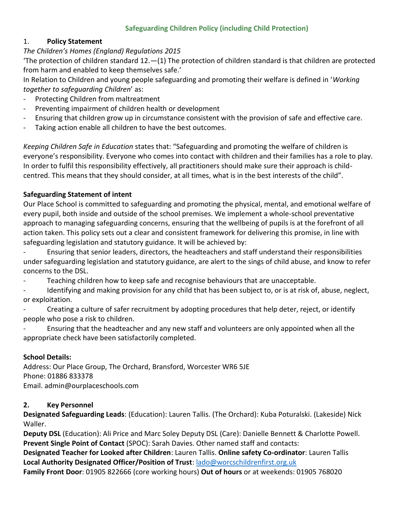#### **Safeguarding Children Policy (including Child Protection)**

#### 1. **Policy Statement**

#### *The Children's Homes (England) Regulations 2015*

'The protection of children standard 12.—(1) The protection of children standard is that children are protected from harm and enabled to keep themselves safe.'

In Relation to Children and young people safeguarding and promoting their welfare is defined in '*Working together to safeguarding Children*' as:

- Protecting Children from maltreatment
- Preventing impairment of children health or development
- Ensuring that children grow up in circumstance consistent with the provision of safe and effective care.
- Taking action enable all children to have the best outcomes.

*Keeping Children Safe in Education* states that: "Safeguarding and promoting the welfare of children is everyone's responsibility. Everyone who comes into contact with children and their families has a role to play. In order to fulfil this responsibility effectively, all practitioners should make sure their approach is childcentred. This means that they should consider, at all times, what is in the best interests of the child".

#### **Safeguarding Statement of intent**

Our Place School is committed to safeguarding and promoting the physical, mental, and emotional welfare of every pupil, both inside and outside of the school premises. We implement a whole-school preventative approach to managing safeguarding concerns, ensuring that the wellbeing of pupils is at the forefront of all action taken. This policy sets out a clear and consistent framework for delivering this promise, in line with safeguarding legislation and statutory guidance. It will be achieved by:

- Ensuring that senior leaders, directors, the headteachers and staff understand their responsibilities under safeguarding legislation and statutory guidance, are alert to the sings of child abuse, and know to refer concerns to the DSL.

- Teaching children how to keep safe and recognise behaviours that are unacceptable.
- Identifying and making provision for any child that has been subject to, or is at risk of, abuse, neglect, or exploitation.
- Creating a culture of safer recruitment by adopting procedures that help deter, reject, or identify people who pose a risk to children.
- Ensuring that the headteacher and any new staff and volunteers are only appointed when all the appropriate check have been satisfactorily completed.

#### **School Details:**

Address: Our Place Group, The Orchard, Bransford, Worcester WR6 5JE Phone: 01886 833378 Email. admin@ourplaceschools.com

#### **2. Key Personnel**

**Designated Safeguarding Leads**: (Education): Lauren Tallis. (The Orchard): Kuba Poturalski. (Lakeside) Nick Waller.

**Deputy DSL** (Education): Ali Price and Marc Soley Deputy DSL (Care): Danielle Bennett & Charlotte Powell. **Prevent Single Point of Contact** (SPOC): Sarah Davies. Other named staff and contacts:

**Designated Teacher for Looked after Children**: Lauren Tallis. **Online safety Co-ordinator**: Lauren Tallis **Local Authority Designated Officer/Position of Trust**: [lado@worcschildrenfirst.org.uk](mailto:lado@worcschildrenfirst.org.uk)

**Family Front Door**: 01905 822666 (core working hours) **Out of hours** or at weekends: 01905 768020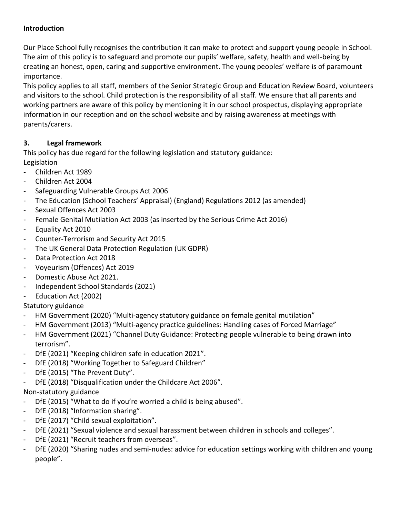#### **Introduction**

Our Place School fully recognises the contribution it can make to protect and support young people in School. The aim of this policy is to safeguard and promote our pupils' welfare, safety, health and well-being by creating an honest, open, caring and supportive environment. The young peoples' welfare is of paramount importance.

This policy applies to all staff, members of the Senior Strategic Group and Education Review Board, volunteers and visitors to the school. Child protection is the responsibility of all staff. We ensure that all parents and working partners are aware of this policy by mentioning it in our school prospectus, displaying appropriate information in our reception and on the school website and by raising awareness at meetings with parents/carers.

#### **3. Legal framework**

This policy has due regard for the following legislation and statutory guidance: Legislation

- Children Act 1989
- Children Act 2004
- Safeguarding Vulnerable Groups Act 2006
- The Education (School Teachers' Appraisal) (England) Regulations 2012 (as amended)
- Sexual Offences Act 2003
- Female Genital Mutilation Act 2003 (as inserted by the Serious Crime Act 2016)
- Equality Act 2010
- Counter-Terrorism and Security Act 2015
- The UK General Data Protection Regulation (UK GDPR)
- Data Protection Act 2018
- Voyeurism (Offences) Act 2019
- Domestic Abuse Act 2021.
- Independent School Standards (2021)
- Education Act (2002)

Statutory guidance

- HM Government (2020) "Multi-agency statutory guidance on female genital mutilation"
- HM Government (2013) "Multi-agency practice guidelines: Handling cases of Forced Marriage"
- HM Government (2021) "Channel Duty Guidance: Protecting people vulnerable to being drawn into terrorism".
- DfE (2021) "Keeping children safe in education 2021".
- DfE (2018) "Working Together to Safeguard Children"
- DfE (2015) "The Prevent Duty".
- DfE (2018) "Disqualification under the Childcare Act 2006".

#### Non-statutory guidance

- DfE (2015) "What to do if you're worried a child is being abused".
- DfE (2018) "Information sharing".
- DfE (2017) "Child sexual exploitation".
- DfE (2021) "Sexual violence and sexual harassment between children in schools and colleges".
- DfE (2021) "Recruit teachers from overseas".
- DfE (2020) "Sharing nudes and semi-nudes: advice for education settings working with children and young people".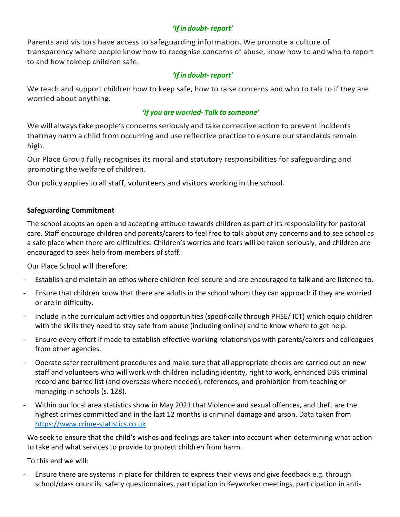#### *'If in doubt-report'*

Parents and visitors have access to safeguarding information. We promote a culture of transparency where people know how to recognise concerns of abuse, know how to and who to report to and how tokeep children safe.

#### *'If in doubt-report'*

We teach and support children how to keep safe, how to raise concerns and who to talk to if they are worried about anything.

#### *'If you are worried- Talk to someone'*

We will always take people's concerns seriously and take corrective action to prevent incidents thatmay harm a child from occurring and use reflective practice to ensure our standards remain high.

Our Place Group fully recognises its moral and statutory responsibilities for safeguarding and promoting the welfare of children.

Our policy applies to all staff, volunteers and visitors working in the school.

#### **Safeguarding Commitment**

The school adopts an open and accepting attitude towards children as part of its responsibility for pastoral care. Staff encourage children and parents/carers to feel free to talk about any concerns and to see school as a safe place when there are difficulties. Children's worries and fears will be taken seriously, and children are encouraged to seek help from members of staff.

Our Place School will therefore:

- Establish and maintain an ethos where children feel secure and are encouraged to talk and are listened to.
- Ensure that children know that there are adults in the school whom they can approach if they are worried or are in difficulty.
- Include in the curriculum activities and opportunities (specifically through PHSE/ ICT) which equip children with the skills they need to stay safe from abuse (including online) and to know where to get help.
- Ensure every effort if made to establish effective working relationships with parents/carers and colleagues from other agencies.
- Operate safer recruitment procedures and make sure that all appropriate checks are carried out on new staff and volunteers who will work with children including identity, right to work, enhanced DBS criminal record and barred list (and overseas where needed), references, and prohibition from teaching or managing in schools (s. 128).
- Within our local area statistics show in May 2021 that Violence and sexual offences, and theft are the highest crimes committed and in the last 12 months is criminal damage and arson. Data taken from [https://www.crime-statistics.co.uk](https://www.crime-statistics.co.uk/)

We seek to ensure that the child's wishes and feelings are taken into account when determining what action to take and what services to provide to protect children from harm.

To this end we will:

Ensure there are systems in place for children to express their views and give feedback e.g. through school/class councils, safety questionnaires, participation in Keyworker meetings, participation in anti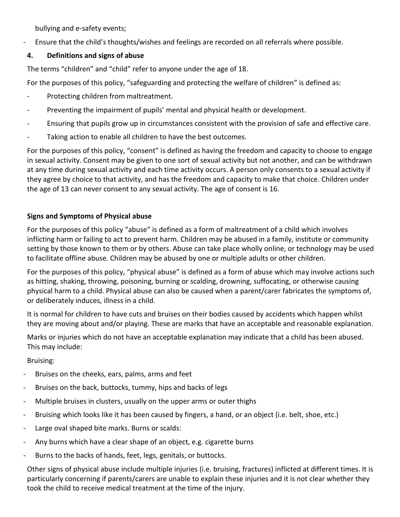bullying and e-safety events;

- Ensure that the child's thoughts/wishes and feelings are recorded on all referrals where possible.

#### **4. Definitions and signs of abuse**

The terms "children" and "child" refer to anyone under the age of 18.

For the purposes of this policy, "safeguarding and protecting the welfare of children" is defined as:

- Protecting children from maltreatment.
- Preventing the impairment of pupils' mental and physical health or development.
- Ensuring that pupils grow up in circumstances consistent with the provision of safe and effective care.
- Taking action to enable all children to have the best outcomes.

For the purposes of this policy, "consent" is defined as having the freedom and capacity to choose to engage in sexual activity. Consent may be given to one sort of sexual activity but not another, and can be withdrawn at any time during sexual activity and each time activity occurs. A person only consents to a sexual activity if they agree by choice to that activity, and has the freedom and capacity to make that choice. Children under the age of 13 can never consent to any sexual activity. The age of consent is 16.

#### **Signs and Symptoms of Physical abuse**

For the purposes of this policy "abuse" is defined as a form of maltreatment of a child which involves inflicting harm or failing to act to prevent harm. Children may be abused in a family, institute or community setting by those known to them or by others. Abuse can take place wholly online, or technology may be used to facilitate offline abuse. Children may be abused by one or multiple adults or other children.

For the purposes of this policy, "physical abuse" is defined as a form of abuse which may involve actions such as hitting, shaking, throwing, poisoning, burning or scalding, drowning, suffocating, or otherwise causing physical harm to a child. Physical abuse can also be caused when a parent/carer fabricates the symptoms of, or deliberately induces, illness in a child.

It is normal for children to have cuts and bruises on their bodies caused by accidents which happen whilst they are moving about and/or playing. These are marks that have an acceptable and reasonable explanation.

Marks or injuries which do not have an acceptable explanation may indicate that a child has been abused. This may include:

Bruising:

- Bruises on the cheeks, ears, palms, arms and feet
- Bruises on the back, buttocks, tummy, hips and backs of legs
- Multiple bruises in clusters, usually on the upper arms or outer thighs
- Bruising which looks like it has been caused by fingers, a hand, or an object (i.e. belt, shoe, etc.)
- Large oval shaped bite marks. Burns or scalds:
- Any burns which have a clear shape of an object, e.g. cigarette burns
- Burns to the backs of hands, feet, legs, genitals, or buttocks.

Other signs of physical abuse include multiple injuries (i.e. bruising, fractures) inflicted at different times. It is particularly concerning if parents/carers are unable to explain these injuries and it is not clear whether they took the child to receive medical treatment at the time of the injury.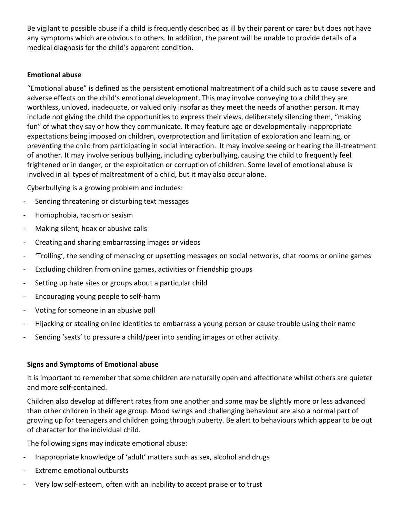Be vigilant to possible abuse if a child is frequently described as ill by their parent or carer but does not have any symptoms which are obvious to others. In addition, the parent will be unable to provide details of a medical diagnosis for the child's apparent condition.

#### **Emotional abuse**

"Emotional abuse" is defined as the persistent emotional maltreatment of a child such as to cause severe and adverse effects on the child's emotional development. This may involve conveying to a child they are worthless, unloved, inadequate, or valued only insofar as they meet the needs of another person. It may include not giving the child the opportunities to express their views, deliberately silencing them, "making fun" of what they say or how they communicate. It may feature age or developmentally inappropriate expectations being imposed on children, overprotection and limitation of exploration and learning, or preventing the child from participating in social interaction. It may involve seeing or hearing the ill-treatment of another. It may involve serious bullying, including cyberbullying, causing the child to frequently feel frightened or in danger, or the exploitation or corruption of children. Some level of emotional abuse is involved in all types of maltreatment of a child, but it may also occur alone.

Cyberbullying is a growing problem and includes:

- Sending threatening or disturbing text messages
- Homophobia, racism or sexism
- Making silent, hoax or abusive calls
- Creating and sharing embarrassing images or videos
- 'Trolling', the sending of menacing or upsetting messages on social networks, chat rooms or online games
- Excluding children from online games, activities or friendship groups
- Setting up hate sites or groups about a particular child
- Encouraging young people to self-harm
- Voting for someone in an abusive poll
- Hijacking or stealing online identities to embarrass a young person or cause trouble using their name
- Sending 'sexts' to pressure a child/peer into sending images or other activity.

#### **Signs and Symptoms of Emotional abuse**

It is important to remember that some children are naturally open and affectionate whilst others are quieter and more self-contained.

Children also develop at different rates from one another and some may be slightly more or less advanced than other children in their age group. Mood swings and challenging behaviour are also a normal part of growing up for teenagers and children going through puberty. Be alert to behaviours which appear to be out of character for the individual child.

The following signs may indicate emotional abuse:

- Inappropriate knowledge of 'adult' matters such as sex, alcohol and drugs
- Extreme emotional outbursts
- Very low self-esteem, often with an inability to accept praise or to trust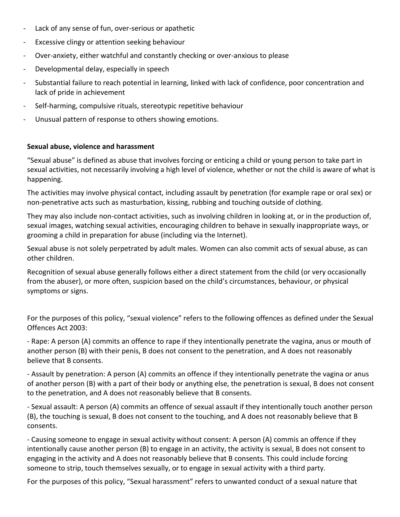- Lack of any sense of fun, over-serious or apathetic
- Excessive clingy or attention seeking behaviour
- Over-anxiety, either watchful and constantly checking or over-anxious to please
- Developmental delay, especially in speech
- Substantial failure to reach potential in learning, linked with lack of confidence, poor concentration and lack of pride in achievement
- Self-harming, compulsive rituals, stereotypic repetitive behaviour
- Unusual pattern of response to others showing emotions.

#### **Sexual abuse, violence and harassment**

"Sexual abuse" is defined as abuse that involves forcing or enticing a child or young person to take part in sexual activities, not necessarily involving a high level of violence, whether or not the child is aware of what is happening.

The activities may involve physical contact, including assault by penetration (for example rape or oral sex) or non-penetrative acts such as masturbation, kissing, rubbing and touching outside of clothing.

They may also include non-contact activities, such as involving children in looking at, or in the production of, sexual images, watching sexual activities, encouraging children to behave in sexually inappropriate ways, or grooming a child in preparation for abuse (including via the Internet).

Sexual abuse is not solely perpetrated by adult males. Women can also commit acts of sexual abuse, as can other children.

Recognition of sexual abuse generally follows either a direct statement from the child (or very occasionally from the abuser), or more often, suspicion based on the child's circumstances, behaviour, or physical symptoms or signs.

For the purposes of this policy, "sexual violence" refers to the following offences as defined under the Sexual Offences Act 2003:

- Rape: A person (A) commits an offence to rape if they intentionally penetrate the vagina, anus or mouth of another person (B) with their penis, B does not consent to the penetration, and A does not reasonably believe that B consents.

- Assault by penetration: A person (A) commits an offence if they intentionally penetrate the vagina or anus of another person (B) with a part of their body or anything else, the penetration is sexual, B does not consent to the penetration, and A does not reasonably believe that B consents.

- Sexual assault: A person (A) commits an offence of sexual assault if they intentionally touch another person (B), the touching is sexual, B does not consent to the touching, and A does not reasonably believe that B consents.

- Causing someone to engage in sexual activity without consent: A person (A) commis an offence if they intentionally cause another person (B) to engage in an activity, the activity is sexual, B does not consent to engaging in the activity and A does not reasonably believe that B consents. This could include forcing someone to strip, touch themselves sexually, or to engage in sexual activity with a third party.

For the purposes of this policy, "Sexual harassment" refers to unwanted conduct of a sexual nature that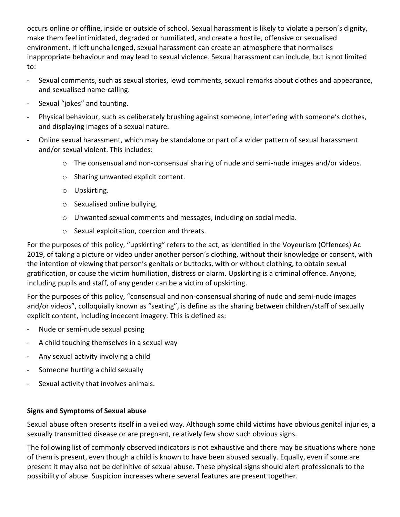occurs online or offline, inside or outside of school. Sexual harassment is likely to violate a person's dignity, make them feel intimidated, degraded or humiliated, and create a hostile, offensive or sexualised environment. If left unchallenged, sexual harassment can create an atmosphere that normalises inappropriate behaviour and may lead to sexual violence. Sexual harassment can include, but is not limited to:

- Sexual comments, such as sexual stories, lewd comments, sexual remarks about clothes and appearance, and sexualised name-calling.
- Sexual "jokes" and taunting.
- Physical behaviour, such as deliberately brushing against someone, interfering with someone's clothes, and displaying images of a sexual nature.
- Online sexual harassment, which may be standalone or part of a wider pattern of sexual harassment and/or sexual violent. This includes:
	- o The consensual and non-consensual sharing of nude and semi-nude images and/or videos.
	- o Sharing unwanted explicit content.
	- o Upskirting.
	- o Sexualised online bullying.
	- o Unwanted sexual comments and messages, including on social media.
	- o Sexual exploitation, coercion and threats.

For the purposes of this policy, "upskirting" refers to the act, as identified in the Voyeurism (Offences) Ac 2019, of taking a picture or video under another person's clothing, without their knowledge or consent, with the intention of viewing that person's genitals or buttocks, with or without clothing, to obtain sexual gratification, or cause the victim humiliation, distress or alarm. Upskirting is a criminal offence. Anyone, including pupils and staff, of any gender can be a victim of upskirting.

For the purposes of this policy, "consensual and non-consensual sharing of nude and semi-nude images and/or videos", colloquially known as "sexting", is define as the sharing between children/staff of sexually explicit content, including indecent imagery. This is defined as:

- Nude or semi-nude sexual posing
- A child touching themselves in a sexual way
- Any sexual activity involving a child
- Someone hurting a child sexually
- Sexual activity that involves animals.

#### **Signs and Symptoms of Sexual abuse**

Sexual abuse often presents itself in a veiled way. Although some child victims have obvious genital injuries, a sexually transmitted disease or are pregnant, relatively few show such obvious signs.

The following list of commonly observed indicators is not exhaustive and there may be situations where none of them is present, even though a child is known to have been abused sexually. Equally, even if some are present it may also not be definitive of sexual abuse. These physical signs should alert professionals to the possibility of abuse. Suspicion increases where several features are present together.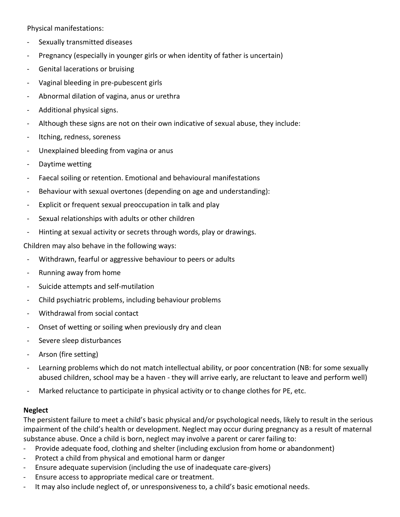Physical manifestations:

- Sexually transmitted diseases
- Pregnancy (especially in younger girls or when identity of father is uncertain)
- Genital lacerations or bruising
- Vaginal bleeding in pre-pubescent girls
- Abnormal dilation of vagina, anus or urethra
- Additional physical signs.
- Although these signs are not on their own indicative of sexual abuse, they include:
- Itching, redness, soreness
- Unexplained bleeding from vagina or anus
- Daytime wetting
- Faecal soiling or retention. Emotional and behavioural manifestations
- Behaviour with sexual overtones (depending on age and understanding):
- Explicit or frequent sexual preoccupation in talk and play
- Sexual relationships with adults or other children
- Hinting at sexual activity or secrets through words, play or drawings.

Children may also behave in the following ways:

- Withdrawn, fearful or aggressive behaviour to peers or adults
- Running away from home
- Suicide attempts and self-mutilation
- Child psychiatric problems, including behaviour problems
- Withdrawal from social contact
- Onset of wetting or soiling when previously dry and clean
- Severe sleep disturbances
- Arson (fire setting)
- Learning problems which do not match intellectual ability, or poor concentration (NB: for some sexually abused children, school may be a haven - they will arrive early, are reluctant to leave and perform well)
- Marked reluctance to participate in physical activity or to change clothes for PE, etc.

#### **Neglect**

The persistent failure to meet a child's basic physical and/or psychological needs, likely to result in the serious impairment of the child's health or development. Neglect may occur during pregnancy as a result of maternal substance abuse. Once a child is born, neglect may involve a parent or carer failing to:

- Provide adequate food, clothing and shelter (including exclusion from home or abandonment)
- Protect a child from physical and emotional harm or danger
- Ensure adequate supervision (including the use of inadequate care-givers)
- Ensure access to appropriate medical care or treatment.
- It may also include neglect of, or unresponsiveness to, a child's basic emotional needs.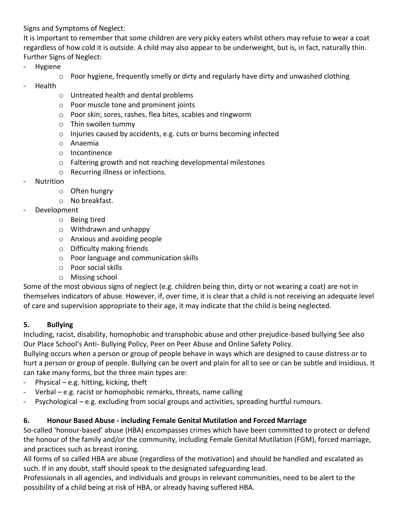Signs and Symptoms of Neglect:

It is important to remember that some children are very picky eaters whilst others may refuse to wear a coat regardless of how cold it is outside. A child may also appear to be underweight, but is, in fact, naturally thin. Further Signs of Neglect:

- Hygiene
	- $\circ$  Poor hygiene, frequently smelly or dirty and regularly have dirty and unwashed clothing
- Health
	- o Untreated health and dental problems
	- o Poor muscle tone and prominent joints
	- o Poor skin; sores, rashes, flea bites, scabies and ringworm
	- o Thin swollen tummy
	- o Injuries caused by accidents, e.g. cuts or burns becoming infected
	- o Anaemia
	- o Incontinence
	- o Faltering growth and not reaching developmental milestones
	- o Recurring illness or infections.
- **Nutrition** 
	- o Often hungry
	- o No breakfast.
- Development
	- o Being tired
	- o Withdrawn and unhappy
	- o Anxious and avoiding people
	- o Difficulty making friends
	- o Poor language and communication skills
	- o Poor social skills
	- o Missing school

Some of the most obvious signs of neglect (e.g. children being thin, dirty or not wearing a coat) are not in themselves indicators of abuse. However, if, over time, it is clear that a child is not receiving an adequate level of care and supervision appropriate to their age, it may indicate that the child is being neglected.

#### **5. Bullying**

Including, racist, disability, homophobic and transphobic abuse and other prejudice-based bullying See also Our Place School's Anti- Bullying Policy, Peer on Peer Abuse and Online Safety Policy.

Bullying occurs when a person or group of people behave in ways which are designed to cause distress or to hurt a person or group of people. Bullying can be overt and plain for all to see or can be subtle and insidious. It can take many forms, but the three main types are:

- Physical e.g. hitting, kicking, theft
- Verbal e.g. racist or homophobic remarks, threats, name calling
- Psychological e.g. excluding from social groups and activities, spreading hurtful rumours.

#### **6. Honour Based Abuse - including Female Genital Mutilation and Forced Marriage**

So-called 'honour-based' abuse (HBA) encompasses crimes which have been committed to protect or defend the honour of the family and/or the community, including Female Genital Mutilation (FGM), forced marriage, and practices such as breast ironing.

All forms of so called HBA are abuse (regardless of the motivation) and should be handled and escalated as such. If in any doubt, staff should speak to the designated safeguarding lead.

Professionals in all agencies, and individuals and groups in relevant communities, need to be alert to the possibility of a child being at risk of HBA, or already having suffered HBA.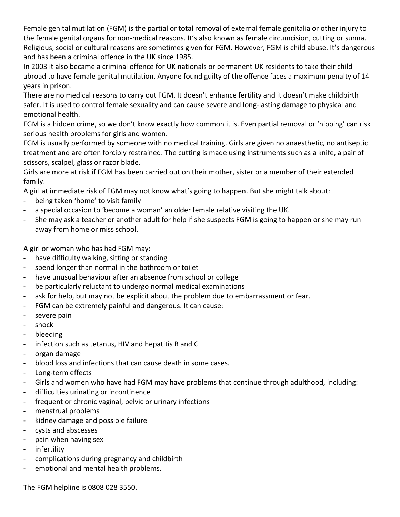Female genital mutilation (FGM) is the partial or total removal of external female genitalia or other injury to the female genital organs for non-medical reasons. It's also known as female circumcision, cutting or sunna. Religious, social or cultural reasons are sometimes given for FGM. However, FGM is child abuse. It's dangerous and has been a criminal offence in the UK since 1985.

In 2003 it also became a criminal offence for UK nationals or permanent UK residents to take their child abroad to have female genital mutilation. Anyone found guilty of the offence faces a maximum penalty of 14 years in prison.

There are no medical reasons to carry out FGM. It doesn't enhance fertility and it doesn't make childbirth safer. It is used to control female sexuality and can cause severe and long-lasting damage to physical and emotional health.

FGM is a hidden crime, so we don't know exactly how common it is. Even partial removal or 'nipping' can risk serious health problems for girls and women.

FGM is usually performed by someone with no medical training. Girls are given no anaesthetic, no antiseptic treatment and are often forcibly restrained. The cutting is made using instruments such as a knife, a pair of scissors, scalpel, glass or razor blade.

Girls are more at risk if FGM has been carried out on their mother, sister or a member of their extended family.

A girl at immediate risk of FGM may not know what's going to happen. But she might talk about:

- being taken 'home' to visit family
- a special occasion to 'become a woman' an older female relative visiting the UK.
- She may ask a teacher or another adult for help if she suspects FGM is going to happen or she may run away from home or miss school.

A girl or woman who has had FGM may:

- have difficulty walking, sitting or standing
- spend longer than normal in the bathroom or toilet
- have unusual behaviour after an absence from school or college
- be particularly reluctant to undergo normal medical examinations
- ask for help, but may not be explicit about the problem due to embarrassment or fear.
- FGM can be extremely painful and dangerous. It can cause:
- severe pain
- shock
- bleeding
- infection such as tetanus, HIV and hepatitis B and C
- organ damage
- blood loss and infections that can cause death in some cases.
- Long-term effects
- Girls and women who have had FGM may have problems that continue through adulthood, including:
- difficulties urinating or incontinence
- frequent or chronic vaginal, pelvic or urinary infections
- menstrual problems
- kidney damage and possible failure
- cysts and abscesses
- pain when having sex
- infertility
- complications during pregnancy and childbirth
- emotional and mental health problems.

The FGM helpline is 0808 028 3550.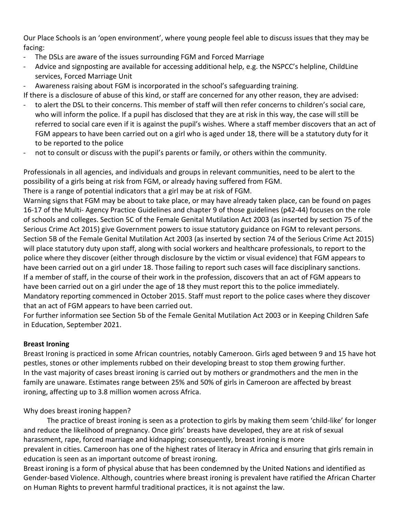Our Place Schools is an 'open environment', where young people feel able to discuss issues that they may be facing:

- The DSLs are aware of the issues surrounding FGM and Forced Marriage
- Advice and signposting are available for accessing additional help, e.g. the NSPCC's helpline, ChildLine services, Forced Marriage Unit
- Awareness raising about FGM is incorporated in the school's safeguarding training.
- If there is a disclosure of abuse of this kind, or staff are concerned for any other reason, they are advised:
- to alert the DSL to their concerns. This member of staff will then refer concerns to children's social care, who will inform the police. If a pupil has disclosed that they are at risk in this way, the case will still be referred to social care even if it is against the pupil's wishes. Where a staff member discovers that an act of FGM appears to have been carried out on a girl who is aged under 18, there will be a statutory duty for it to be reported to the police
- not to consult or discuss with the pupil's parents or family, or others within the community.

Professionals in all agencies, and individuals and groups in relevant communities, need to be alert to the possibility of a girls being at risk from FGM, or already having suffered from FGM.

There is a range of potential indicators that a girl may be at risk of FGM.

Warning signs that FGM may be about to take place, or may have already taken place, can be found on pages 16-17 of the Multi- Agency Practice Guidelines and chapter 9 of those guidelines (p42-44) focuses on the role of schools and colleges. Section 5C of the Female Genital Mutilation Act 2003 (as inserted by section 75 of the Serious Crime Act 2015) give Government powers to issue statutory guidance on FGM to relevant persons. Section 5B of the Female Genital Mutilation Act 2003 (as inserted by section 74 of the Serious Crime Act 2015) will place statutory duty upon staff, along with social workers and healthcare professionals, to report to the police where they discover (either through disclosure by the victim or visual evidence) that FGM appears to have been carried out on a girl under 18. Those failing to report such cases will face disciplinary sanctions. If a member of staff, in the course of their work in the profession, discovers that an act of FGM appears to have been carried out on a girl under the age of 18 they must report this to the police immediately. Mandatory reporting commenced in October 2015. Staff must report to the police cases where they discover that an act of FGM appears to have been carried out.

For further information see Section 5b of the Female Genital Mutilation Act 2003 or in Keeping Children Safe in Education, September 2021.

#### **Breast Ironing**

Breast Ironing is practiced in some African countries, notably Cameroon. Girls aged between 9 and 15 have hot pestles, stones or other implements rubbed on their developing breast to stop them growing further. In the vast majority of cases breast ironing is carried out by mothers or grandmothers and the men in the family are unaware. Estimates range between 25% and 50% of girls in Cameroon are affected by breast ironing, affecting up to 3.8 million women across Africa.

Why does breast ironing happen?

The practice of breast ironing is seen as a protection to girls by making them seem 'child-like' for longer and reduce the likelihood of pregnancy. Once girls' breasts have developed, they are at risk of sexual harassment, rape, forced marriage and kidnapping; consequently, breast ironing is more prevalent in cities. Cameroon has one of the highest rates of literacy in Africa and ensuring that girls remain in education is seen as an important outcome of breast ironing.

Breast ironing is a form of physical abuse that has been condemned by the United Nations and identified as Gender-based Violence. Although, countries where breast ironing is prevalent have ratified the African Charter on Human Rights to prevent harmful traditional practices, it is not against the law.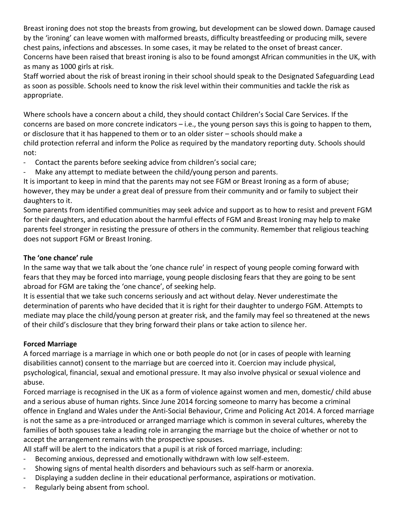Breast ironing does not stop the breasts from growing, but development can be slowed down. Damage caused by the 'ironing' can leave women with malformed breasts, difficulty breastfeeding or producing milk, severe chest pains, infections and abscesses. In some cases, it may be related to the onset of breast cancer. Concerns have been raised that breast ironing is also to be found amongst African communities in the UK, with as many as 1000 girls at risk.

Staff worried about the risk of breast ironing in their school should speak to the Designated Safeguarding Lead as soon as possible. Schools need to know the risk level within their communities and tackle the risk as appropriate.

Where schools have a concern about a child, they should contact Children's Social Care Services. If the concerns are based on more concrete indicators – i.e., the young person says this is going to happen to them, or disclosure that it has happened to them or to an older sister – schools should make a child protection referral and inform the Police as required by the mandatory reporting duty. Schools should not:

- Contact the parents before seeking advice from children's social care;

Make any attempt to mediate between the child/young person and parents.

It is important to keep in mind that the parents may not see FGM or Breast Ironing as a form of abuse; however, they may be under a great deal of pressure from their community and or family to subject their daughters to it.

Some parents from identified communities may seek advice and support as to how to resist and prevent FGM for their daughters, and education about the harmful effects of FGM and Breast Ironing may help to make parents feel stronger in resisting the pressure of others in the community. Remember that religious teaching does not support FGM or Breast Ironing.

#### **The 'one chance' rule**

In the same way that we talk about the 'one chance rule' in respect of young people coming forward with fears that they may be forced into marriage, young people disclosing fears that they are going to be sent abroad for FGM are taking the 'one chance', of seeking help.

It is essential that we take such concerns seriously and act without delay. Never underestimate the determination of parents who have decided that it is right for their daughter to undergo FGM. Attempts to mediate may place the child/young person at greater risk, and the family may feel so threatened at the news of their child's disclosure that they bring forward their plans or take action to silence her.

#### **Forced Marriage**

A forced marriage is a marriage in which one or both people do not (or in cases of people with learning disabilities cannot) consent to the marriage but are coerced into it. Coercion may include physical, psychological, financial, sexual and emotional pressure. It may also involve physical or sexual violence and abuse.

Forced marriage is recognised in the UK as a form of violence against women and men, domestic/ child abuse and a serious abuse of human rights. Since June 2014 forcing someone to marry has become a criminal offence in England and Wales under the Anti-Social Behaviour, Crime and Policing Act 2014. A forced marriage is not the same as a pre-introduced or arranged marriage which is common in several cultures, whereby the families of both spouses take a leading role in arranging the marriage but the choice of whether or not to accept the arrangement remains with the prospective spouses.

All staff will be alert to the indicators that a pupil is at risk of forced marriage, including:

- Becoming anxious, depressed and emotionally withdrawn with low self-esteem.
- Showing signs of mental health disorders and behaviours such as self-harm or anorexia.
- Displaying a sudden decline in their educational performance, aspirations or motivation.
- Regularly being absent from school.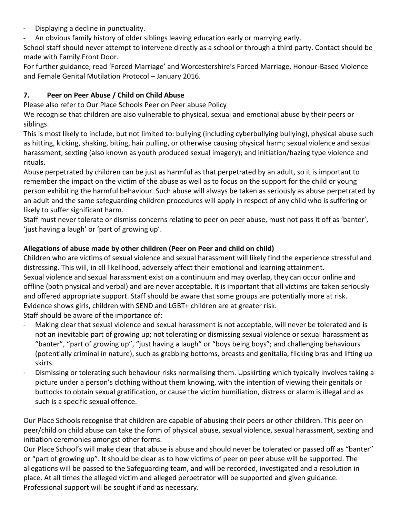- Displaying a decline in punctuality.
- An obvious family history of older siblings leaving education early or marrying early.

School staff should never attempt to intervene directly as a school or through a third party. Contact should be made with Family Front Door.

For further guidance, read 'Forced Marriage' and Worcestershire's Forced Marriage, Honour-Based Violence and Female Genital Mutilation Protocol – January 2016.

#### **7. Peer on Peer Abuse / Child on Child Abuse**

Please also refer to Our Place Schools Peer on Peer abuse Policy

We recognise that children are also vulnerable to physical, sexual and emotional abuse by their peers or siblings.

This is most likely to include, but not limited to: bullying (including cyberbullying bullying), physical abuse such as hitting, kicking, shaking, biting, hair pulling, or otherwise causing physical harm; sexual violence and sexual harassment; sexting (also known as youth produced sexual imagery); and initiation/hazing type violence and rituals.

Abuse perpetrated by children can be just as harmful as that perpetrated by an adult, so it is important to remember the impact on the victim of the abuse as well as to focus on the support for the child or young person exhibiting the harmful behaviour. Such abuse will always be taken as seriously as abuse perpetrated by an adult and the same safeguarding children procedures will apply in respect of any child who is suffering or likely to suffer significant harm.

Staff must never tolerate or dismiss concerns relating to peer on peer abuse, must not pass it off as 'banter', 'just having a laugh' or 'part of growing up'.

#### **Allegations of abuse made by other children (Peer on Peer and child on child)**

Children who are victims of sexual violence and sexual harassment will likely find the experience stressful and distressing. This will, in all likelihood, adversely affect their emotional and learning attainment. Sexual violence and sexual harassment exist on a continuum and may overlap, they can occur online and offline (both physical and verbal) and are never acceptable. It is important that all victims are taken seriously and offered appropriate support. Staff should be aware that some groups are potentially more at risk. Evidence shows girls, children with SEND and LGBT+ children are at greater risk.

Staff should be aware of the importance of:

- Making clear that sexual violence and sexual harassment is not acceptable, will never be tolerated and is not an inevitable part of growing up; not tolerating or dismissing sexual violence or sexual harassment as "banter", "part of growing up", "just having a laugh" or "boys being boys"; and challenging behaviours (potentially criminal in nature), such as grabbing bottoms, breasts and genitalia, flicking bras and lifting up skirts.
- Dismissing or tolerating such behaviour risks normalising them. Upskirting which typically involves taking a picture under a person's clothing without them knowing, with the intention of viewing their genitals or buttocks to obtain sexual gratification, or cause the victim humiliation, distress or alarm is illegal and as such is a specific sexual offence.

Our Place Schools recognise that children are capable of abusing their peers or other children. This peer on peer/child on child abuse can take the form of physical abuse, sexual violence, sexual harassment, sexting and initiation ceremonies amongst other forms.

Our Place School's will make clear that abuse is abuse and should never be tolerated or passed off as "banter" or "part of growing up". It should be clear as to how victims of peer on peer abuse will be supported. The allegations will be passed to the Safeguarding team, and will be recorded, investigated and a resolution in place. At all times the alleged victim and alleged perpetrator will be supported and given guidance. Professional support will be sought if and as necessary.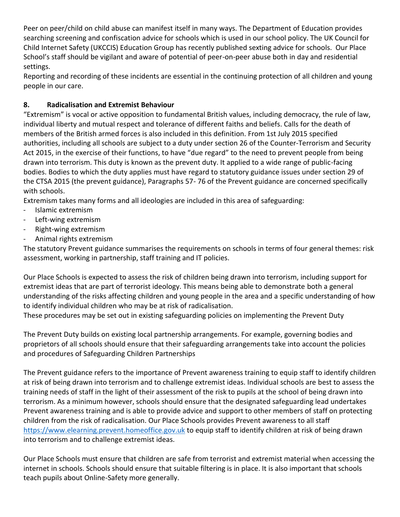Peer on peer/child on child abuse can manifest itself in many ways. The Department of Education provides searching screening and confiscation advice for schools which is used in our school policy. The UK Council for Child Internet Safety (UKCCIS) Education Group has recently published sexting advice for schools. Our Place School's staff should be vigilant and aware of potential of peer-on-peer abuse both in day and residential settings.

Reporting and recording of these incidents are essential in the continuing protection of all children and young people in our care.

#### **8. Radicalisation and Extremist Behaviour**

"Extremism" is vocal or active opposition to fundamental British values, including democracy, the rule of law, individual liberty and mutual respect and tolerance of different faiths and beliefs. Calls for the death of members of the British armed forces is also included in this definition. From 1st July 2015 specified authorities, including all schools are subject to a duty under section 26 of the Counter-Terrorism and Security Act 2015, in the exercise of their functions, to have "due regard" to the need to prevent people from being drawn into terrorism. This duty is known as the prevent duty. It applied to a wide range of public-facing bodies. Bodies to which the duty applies must have regard to statutory guidance issues under section 29 of the CTSA 2015 (the prevent guidance), Paragraphs 57- 76 of the Prevent guidance are concerned specifically with schools.

Extremism takes many forms and all ideologies are included in this area of safeguarding:

- Islamic extremism
- Left-wing extremism
- Right-wing extremism
- Animal rights extremism

The statutory Prevent guidance summarises the requirements on schools in terms of four general themes: risk assessment, working in partnership, staff training and IT policies.

Our Place Schools is expected to assess the risk of children being drawn into terrorism, including support for extremist ideas that are part of terrorist ideology. This means being able to demonstrate both a general understanding of the risks affecting children and young people in the area and a specific understanding of how to identify individual children who may be at risk of radicalisation.

These procedures may be set out in existing safeguarding policies on implementing the Prevent Duty

The Prevent Duty builds on existing local partnership arrangements. For example, governing bodies and proprietors of all schools should ensure that their safeguarding arrangements take into account the policies and procedures of Safeguarding Children Partnerships

The Prevent guidance refers to the importance of Prevent awareness training to equip staff to identify children at risk of being drawn into terrorism and to challenge extremist ideas. Individual schools are best to assess the training needs of staff in the light of their assessment of the risk to pupils at the school of being drawn into terrorism. As a minimum however, schools should ensure that the designated safeguarding lead undertakes Prevent awareness training and is able to provide advice and support to other members of staff on protecting children from the risk of radicalisation. Our Place Schools provides Prevent awareness to all staff [https://www.elearning.prevent.homeoffice.gov.uk](https://www.elearning.prevent.homeoffice.gov.uk/) to equip staff to identify children at risk of being drawn into terrorism and to challenge extremist ideas.

Our Place Schools must ensure that children are safe from terrorist and extremist material when accessing the internet in schools. Schools should ensure that suitable filtering is in place. It is also important that schools teach pupils about Online-Safety more generally.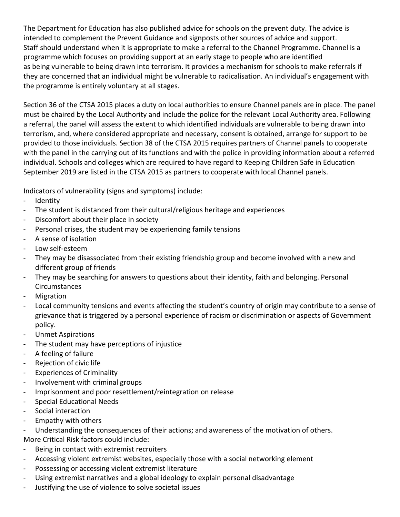The Department for Education has also published advice for schools on the prevent duty. The advice is intended to complement the Prevent Guidance and signposts other sources of advice and support. Staff should understand when it is appropriate to make a referral to the Channel Programme. Channel is a programme which focuses on providing support at an early stage to people who are identified as being vulnerable to being drawn into terrorism. It provides a mechanism for schools to make referrals if they are concerned that an individual might be vulnerable to radicalisation. An individual's engagement with the programme is entirely voluntary at all stages.

Section 36 of the CTSA 2015 places a duty on local authorities to ensure Channel panels are in place. The panel must be chaired by the Local Authority and include the police for the relevant Local Authority area. Following a referral, the panel will assess the extent to which identified individuals are vulnerable to being drawn into terrorism, and, where considered appropriate and necessary, consent is obtained, arrange for support to be provided to those individuals. Section 38 of the CTSA 2015 requires partners of Channel panels to cooperate with the panel in the carrying out of its functions and with the police in providing information about a referred individual. Schools and colleges which are required to have regard to Keeping Children Safe in Education September 2019 are listed in the CTSA 2015 as partners to cooperate with local Channel panels.

Indicators of vulnerability (signs and symptoms) include:

- Identity
- The student is distanced from their cultural/religious heritage and experiences
- Discomfort about their place in society
- Personal crises, the student may be experiencing family tensions
- A sense of isolation
- Low self-esteem
- They may be disassociated from their existing friendship group and become involved with a new and different group of friends
- They may be searching for answers to questions about their identity, faith and belonging. Personal Circumstances
- **Migration**
- Local community tensions and events affecting the student's country of origin may contribute to a sense of grievance that is triggered by a personal experience of racism or discrimination or aspects of Government policy.
- Unmet Aspirations
- The student may have perceptions of injustice
- A feeling of failure
- Rejection of civic life
- Experiences of Criminality
- Involvement with criminal groups
- Imprisonment and poor resettlement/reintegration on release
- Special Educational Needs
- Social interaction
- Empathy with others
- Understanding the consequences of their actions; and awareness of the motivation of others.
- More Critical Risk factors could include:
- Being in contact with extremist recruiters
- Accessing violent extremist websites, especially those with a social networking element
- Possessing or accessing violent extremist literature
- Using extremist narratives and a global ideology to explain personal disadvantage
- Justifying the use of violence to solve societal issues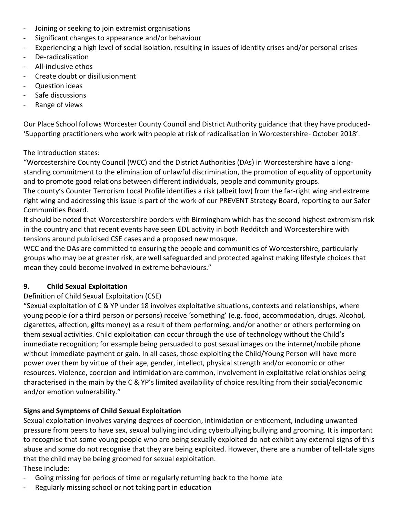- Joining or seeking to join extremist organisations
- Significant changes to appearance and/or behaviour
- Experiencing a high level of social isolation, resulting in issues of identity crises and/or personal crises
- De-radicalisation
- All-inclusive ethos
- Create doubt or disillusionment
- Question ideas
- Safe discussions
- Range of views

Our Place School follows Worcester County Council and District Authority guidance that they have produced- 'Supporting practitioners who work with people at risk of radicalisation in Worcestershire- October 2018'.

The introduction states:

"Worcestershire County Council (WCC) and the District Authorities (DAs) in Worcestershire have a longstanding commitment to the elimination of unlawful discrimination, the promotion of equality of opportunity and to promote good relations between different individuals, people and community groups. The county's Counter Terrorism Local Profile identifies a risk (albeit low) from the far-right wing and extreme right wing and addressing this issue is part of the work of our PREVENT Strategy Board, reporting to our Safer Communities Board.

It should be noted that Worcestershire borders with Birmingham which has the second highest extremism risk in the country and that recent events have seen EDL activity in both Redditch and Worcestershire with tensions around publicised CSE cases and a proposed new mosque.

WCC and the DAs are committed to ensuring the people and communities of Worcestershire, particularly groups who may be at greater risk, are well safeguarded and protected against making lifestyle choices that mean they could become involved in extreme behaviours."

#### **9. Child Sexual Exploitation**

#### Definition of Child Sexual Exploitation (CSE)

"Sexual exploitation of C & YP under 18 involves exploitative situations, contexts and relationships, where young people (or a third person or persons) receive 'something' (e.g. food, accommodation, drugs. Alcohol, cigarettes, affection, gifts money) as a result of them performing, and/or another or others performing on them sexual activities. Child exploitation can occur through the use of technology without the Child's immediate recognition; for example being persuaded to post sexual images on the internet/mobile phone without immediate payment or gain. In all cases, those exploiting the Child/Young Person will have more power over them by virtue of their age, gender, intellect, physical strength and/or economic or other resources. Violence, coercion and intimidation are common, involvement in exploitative relationships being characterised in the main by the C & YP's limited availability of choice resulting from their social/economic and/or emotion vulnerability."

#### **Signs and Symptoms of Child Sexual Exploitation**

Sexual exploitation involves varying degrees of coercion, intimidation or enticement, including unwanted pressure from peers to have sex, sexual bullying including cyberbullying bullying and grooming. It is important to recognise that some young people who are being sexually exploited do not exhibit any external signs of this abuse and some do not recognise that they are being exploited. However, there are a number of tell-tale signs that the child may be being groomed for sexual exploitation.

These include:

- Going missing for periods of time or regularly returning back to the home late
- Regularly missing school or not taking part in education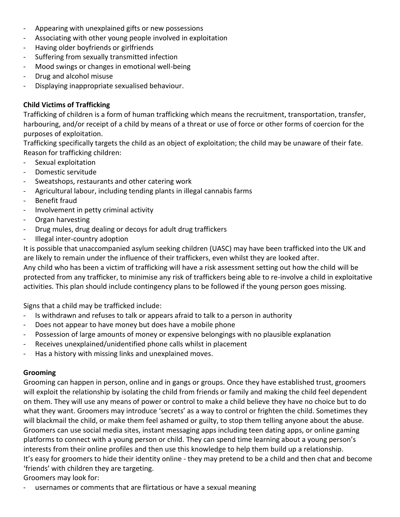- Appearing with unexplained gifts or new possessions
- Associating with other young people involved in exploitation
- Having older boyfriends or girlfriends
- Suffering from sexually transmitted infection
- Mood swings or changes in emotional well-being
- Drug and alcohol misuse
- Displaying inappropriate sexualised behaviour.

#### **Child Victims of Trafficking**

Trafficking of children is a form of human trafficking which means the recruitment, transportation, transfer, harbouring, and/or receipt of a child by means of a threat or use of force or other forms of coercion for the purposes of exploitation.

Trafficking specifically targets the child as an object of exploitation; the child may be unaware of their fate. Reason for trafficking children:

- Sexual exploitation
- Domestic servitude
- Sweatshops, restaurants and other catering work
- Agricultural labour, including tending plants in illegal cannabis farms
- Benefit fraud
- Involvement in petty criminal activity
- Organ harvesting
- Drug mules, drug dealing or decoys for adult drug traffickers
- Illegal inter-country adoption

It is possible that unaccompanied asylum seeking children (UASC) may have been trafficked into the UK and are likely to remain under the influence of their traffickers, even whilst they are looked after. Any child who has been a victim of trafficking will have a risk assessment setting out how the child will be protected from any trafficker, to minimise any risk of traffickers being able to re-involve a child in exploitative activities. This plan should include contingency plans to be followed if the young person goes missing.

Signs that a child may be trafficked include:

- Is withdrawn and refuses to talk or appears afraid to talk to a person in authority
- Does not appear to have money but does have a mobile phone
- Possession of large amounts of money or expensive belongings with no plausible explanation
- Receives unexplained/unidentified phone calls whilst in placement
- Has a history with missing links and unexplained moves.

#### **Grooming**

Grooming can happen in person, online and in gangs or groups. Once they have established trust, groomers will exploit the relationship by isolating the child from friends or family and making the child feel dependent on them. They will use any means of power or control to make a child believe they have no choice but to do what they want. Groomers may introduce 'secrets' as a way to control or frighten the child. Sometimes they will blackmail the child, or make them feel ashamed or guilty, to stop them telling anyone about the abuse. Groomers can use social media sites, instant messaging apps including teen dating apps, or online gaming platforms to connect with a young person or child. They can spend time learning about a young person's interests from their online profiles and then use this knowledge to help them build up a relationship. It's easy for groomers to hide their identity online - they may pretend to be a child and then chat and become 'friends' with children they are targeting.

Groomers may look for:

usernames or comments that are flirtatious or have a sexual meaning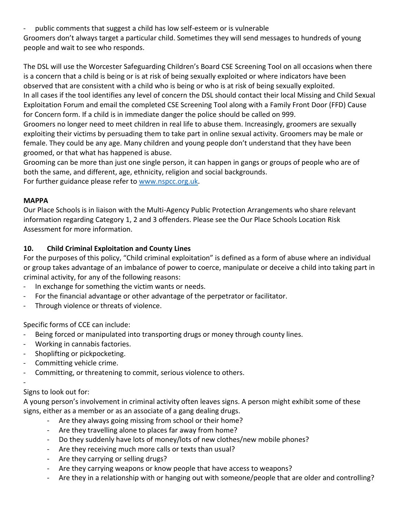- public comments that suggest a child has low self-esteem or is vulnerable

Groomers don't always target a particular child. Sometimes they will send messages to hundreds of young people and wait to see who responds.

The DSL will use the Worcester Safeguarding Children's Board CSE Screening Tool on all occasions when there is a concern that a child is being or is at risk of being sexually exploited or where indicators have been observed that are consistent with a child who is being or who is at risk of being sexually exploited. In all cases if the tool identifies any level of concern the DSL should contact their local Missing and Child Sexual Exploitation Forum and email the completed CSE Screening Tool along with a Family Front Door (FFD) Cause for Concern form. If a child is in immediate danger the police should be called on 999.

Groomers no longer need to meet children in real life to abuse them. Increasingly, groomers are sexually exploiting their victims by persuading them to take part in online sexual activity. Groomers may be male or female. They could be any age. Many children and young people don't understand that they have been groomed, or that what has happened is abuse.

Grooming can be more than just one single person, it can happen in gangs or groups of people who are of both the same, and different, age, ethnicity, religion and social backgrounds. For further guidance please refer to [www.nspcc.org.uk.](http://www.nspcc.org.uk/)

#### **MAPPA**

Our Place Schools is in liaison with the Multi-Agency Public Protection Arrangements who share relevant information regarding Category 1, 2 and 3 offenders. Please see the Our Place Schools Location Risk Assessment for more information.

#### **10. Child Criminal Exploitation and County Lines**

For the purposes of this policy, "Child criminal exploitation" is defined as a form of abuse where an individual or group takes advantage of an imbalance of power to coerce, manipulate or deceive a child into taking part in criminal activity, for any of the following reasons:

- In exchange for something the victim wants or needs.
- For the financial advantage or other advantage of the perpetrator or facilitator.
- Through violence or threats of violence.

Specific forms of CCE can include:

- Being forced or manipulated into transporting drugs or money through county lines.
- Working in cannabis factories.
- Shoplifting or pickpocketing.
- Committing vehicle crime.
- Committing, or threatening to commit, serious violence to others.

#### - Signs to look out for:

A young person's involvement in criminal activity often leaves signs. A person might exhibit some of these signs, either as a member or as an associate of a gang dealing drugs.

- Are they always going missing from school or their home?
- Are they travelling alone to places far away from home?
- Do they suddenly have lots of money/lots of new clothes/new mobile phones?
- Are they receiving much more calls or texts than usual?
- Are they carrying or selling drugs?
- Are they carrying weapons or know people that have access to weapons?
- Are they in a relationship with or hanging out with someone/people that are older and controlling?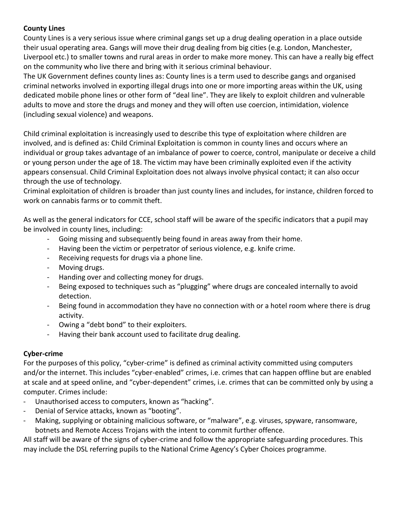#### **County Lines**

County Lines is a very serious issue where criminal gangs set up a drug dealing operation in a place outside their usual operating area. Gangs will move their drug dealing from big cities (e.g. London, Manchester, Liverpool etc.) to smaller towns and rural areas in order to make more money. This can have a really big effect on the community who live there and bring with it serious criminal behaviour.

The UK Government defines county lines as: County lines is a term used to describe gangs and organised criminal networks involved in exporting illegal drugs into one or more importing areas within the UK, using dedicated mobile phone lines or other form of "deal line". They are likely to exploit children and vulnerable adults to move and store the drugs and money and they will often use coercion, intimidation, violence (including sexual violence) and weapons.

Child criminal exploitation is increasingly used to describe this type of exploitation where children are involved, and is defined as: Child Criminal Exploitation is common in county lines and occurs where an individual or group takes advantage of an imbalance of power to coerce, control, manipulate or deceive a child or young person under the age of 18. The victim may have been criminally exploited even if the activity appears consensual. Child Criminal Exploitation does not always involve physical contact; it can also occur through the use of technology.

Criminal exploitation of children is broader than just county lines and includes, for instance, children forced to work on cannabis farms or to commit theft.

As well as the general indicators for CCE, school staff will be aware of the specific indicators that a pupil may be involved in county lines, including:

- Going missing and subsequently being found in areas away from their home.
- Having been the victim or perpetrator of serious violence, e.g. knife crime.
- Receiving requests for drugs via a phone line.
- Moving drugs.
- Handing over and collecting money for drugs.
- Being exposed to techniques such as "plugging" where drugs are concealed internally to avoid detection.
- Being found in accommodation they have no connection with or a hotel room where there is drug activity.
- Owing a "debt bond" to their exploiters.
- Having their bank account used to facilitate drug dealing.

#### **Cyber-crime**

For the purposes of this policy, "cyber-crime" is defined as criminal activity committed using computers and/or the internet. This includes "cyber-enabled" crimes, i.e. crimes that can happen offline but are enabled at scale and at speed online, and "cyber-dependent" crimes, i.e. crimes that can be committed only by using a computer. Crimes include:

- Unauthorised access to computers, known as "hacking".
- Denial of Service attacks, known as "booting".
- Making, supplying or obtaining malicious software, or "malware", e.g. viruses, spyware, ransomware, botnets and Remote Access Trojans with the intent to commit further offence.

All staff will be aware of the signs of cyber-crime and follow the appropriate safeguarding procedures. This may include the DSL referring pupils to the National Crime Agency's Cyber Choices programme.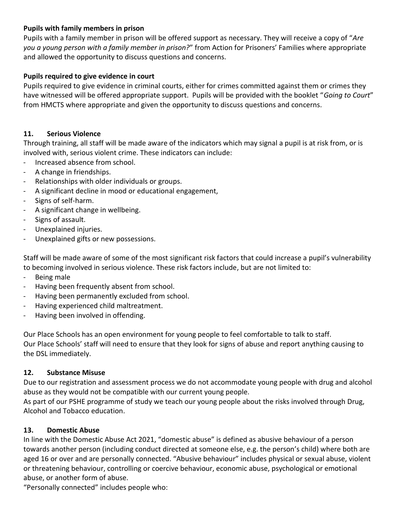#### **Pupils with family members in prison**

Pupils with a family member in prison will be offered support as necessary. They will receive a copy of "*Are you a young person with a family member in prison?*" from Action for Prisoners' Families where appropriate and allowed the opportunity to discuss questions and concerns.

#### **Pupils required to give evidence in court**

Pupils required to give evidence in criminal courts, either for crimes committed against them or crimes they have witnessed will be offered appropriate support. Pupils will be provided with the booklet "*Going to Court*" from HMCTS where appropriate and given the opportunity to discuss questions and concerns.

#### **11. Serious Violence**

Through training, all staff will be made aware of the indicators which may signal a pupil is at risk from, or is involved with, serious violent crime. These indicators can include:

- Increased absence from school.
- A change in friendships.
- Relationships with older individuals or groups.
- A significant decline in mood or educational engagement,
- Signs of self-harm.
- A significant change in wellbeing.
- Signs of assault.
- Unexplained injuries.
- Unexplained gifts or new possessions.

Staff will be made aware of some of the most significant risk factors that could increase a pupil's vulnerability to becoming involved in serious violence. These risk factors include, but are not limited to:

- Being male
- Having been frequently absent from school.
- Having been permanently excluded from school.
- Having experienced child maltreatment.
- Having been involved in offending.

Our Place Schools has an open environment for young people to feel comfortable to talk to staff. Our Place Schools' staff will need to ensure that they look for signs of abuse and report anything causing to the DSL immediately.

#### **12. Substance Misuse**

Due to our registration and assessment process we do not accommodate young people with drug and alcohol abuse as they would not be compatible with our current young people.

As part of our PSHE programme of study we teach our young people about the risks involved through Drug, Alcohol and Tobacco education.

#### **13. Domestic Abuse**

In line with the Domestic Abuse Act 2021, "domestic abuse" is defined as abusive behaviour of a person towards another person (including conduct directed at someone else, e.g. the person's child) where both are aged 16 or over and are personally connected. "Abusive behaviour" includes physical or sexual abuse, violent or threatening behaviour, controlling or coercive behaviour, economic abuse, psychological or emotional abuse, or another form of abuse.

"Personally connected" includes people who: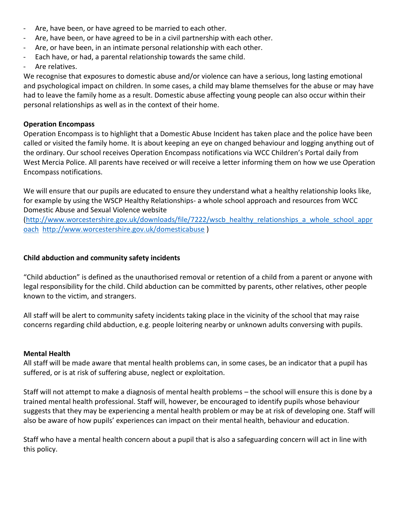- Are, have been, or have agreed to be married to each other.
- Are, have been, or have agreed to be in a civil partnership with each other.
- Are, or have been, in an intimate personal relationship with each other.
- Each have, or had, a parental relationship towards the same child.
- Are relatives.

We recognise that exposures to domestic abuse and/or violence can have a serious, long lasting emotional and psychological impact on children. In some cases, a child may blame themselves for the abuse or may have had to leave the family home as a result. Domestic abuse affecting young people can also occur within their personal relationships as well as in the context of their home.

#### **Operation Encompass**

Operation Encompass is to highlight that a Domestic Abuse Incident has taken place and the police have been called or visited the family home. It is about keeping an eye on changed behaviour and logging anything out of the ordinary. Our school receives Operation Encompass notifications via WCC Children's Portal daily from West Mercia Police. All parents have received or will receive a letter informing them on how we use Operation Encompass notifications.

We will ensure that our pupils are educated to ensure they understand what a healthy relationship looks like, for example by using the WSCP Healthy Relationships- a whole school approach and resources from WCC Domestic Abuse and Sexual Violence website

[\(http://www.worcestershire.gov.uk/downloads/file/7222/wscb\\_healthy\\_relationships\\_a\\_whole\\_school\\_appr](http://www.worcestershire.gov.uk/downloads/file/7222/wscb_healthy_relationships_a_whole_school_approach) [oach](http://www.worcestershire.gov.uk/downloads/file/7222/wscb_healthy_relationships_a_whole_school_approach) <http://www.worcestershire.gov.uk/domesticabuse> )

#### **Child abduction and community safety incidents**

"Child abduction" is defined as the unauthorised removal or retention of a child from a parent or anyone with legal responsibility for the child. Child abduction can be committed by parents, other relatives, other people known to the victim, and strangers.

All staff will be alert to community safety incidents taking place in the vicinity of the school that may raise concerns regarding child abduction, e.g. people loitering nearby or unknown adults conversing with pupils.

#### **Mental Health**

All staff will be made aware that mental health problems can, in some cases, be an indicator that a pupil has suffered, or is at risk of suffering abuse, neglect or exploitation.

Staff will not attempt to make a diagnosis of mental health problems – the school will ensure this is done by a trained mental health professional. Staff will, however, be encouraged to identify pupils whose behaviour suggests that they may be experiencing a mental health problem or may be at risk of developing one. Staff will also be aware of how pupils' experiences can impact on their mental health, behaviour and education.

Staff who have a mental health concern about a pupil that is also a safeguarding concern will act in line with this policy.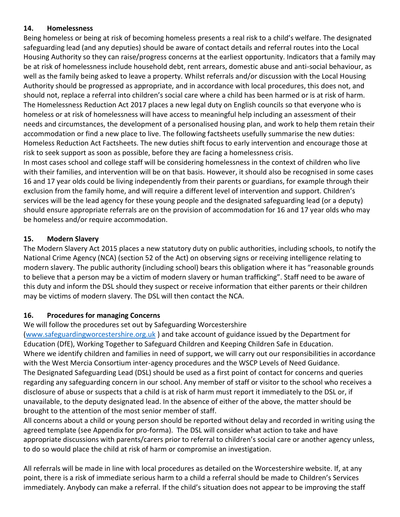#### **14. Homelessness**

Being homeless or being at risk of becoming homeless presents a real risk to a child's welfare. The designated safeguarding lead (and any deputies) should be aware of contact details and referral routes into the Local Housing Authority so they can raise/progress concerns at the earliest opportunity. Indicators that a family may be at risk of homelessness include household debt, rent arrears, domestic abuse and anti-social behaviour, as well as the family being asked to leave a property. Whilst referrals and/or discussion with the Local Housing Authority should be progressed as appropriate, and in accordance with local procedures, this does not, and should not, replace a referral into children's social care where a child has been harmed or is at risk of harm. The Homelessness Reduction Act 2017 places a new legal duty on English councils so that everyone who is homeless or at risk of homelessness will have access to meaningful help including an assessment of their needs and circumstances, the development of a personalised housing plan, and work to help them retain their accommodation or find a new place to live. The following factsheets usefully summarise the new duties: Homeless Reduction Act Factsheets. The new duties shift focus to early intervention and encourage those at risk to seek support as soon as possible, before they are facing a homelessness crisis.

In most cases school and college staff will be considering homelessness in the context of children who live with their families, and intervention will be on that basis. However, it should also be recognised in some cases 16 and 17 year olds could be living independently from their parents or guardians, for example through their exclusion from the family home, and will require a different level of intervention and support. Children's services will be the lead agency for these young people and the designated safeguarding lead (or a deputy) should ensure appropriate referrals are on the provision of accommodation for 16 and 17 year olds who may be homeless and/or require accommodation.

#### **15. Modern Slavery**

The Modern Slavery Act 2015 places a new statutory duty on public authorities, including schools, to notify the National Crime Agency (NCA) (section 52 of the Act) on observing signs or receiving intelligence relating to modern slavery. The public authority (including school) bears this obligation where it has "reasonable grounds to believe that a person may be a victim of modern slavery or human trafficking". Staff need to be aware of this duty and inform the DSL should they suspect or receive information that either parents or their children may be victims of modern slavery. The DSL will then contact the NCA.

#### **16. Procedures for managing Concerns**

We will follow the procedures set out by Safeguarding Worcestershire

[\(www.safeguardingworcestershire.org.uk](http://www.safeguardingworcestershire.org.uk/) ) and take account of guidance issued by the Department for Education (DfE), Working Together to Safeguard Children and Keeping Children Safe in Education. Where we identify children and families in need of support, we will carry out our responsibilities in accordance with the West Mercia Consortium inter-agency procedures and the WSCP Levels of Need Guidance. The Designated Safeguarding Lead (DSL) should be used as a first point of contact for concerns and queries regarding any safeguarding concern in our school. Any member of staff or visitor to the school who receives a disclosure of abuse or suspects that a child is at risk of harm must report it immediately to the DSL or, if unavailable, to the deputy designated lead. In the absence of either of the above, the matter should be brought to the attention of the most senior member of staff.

All concerns about a child or young person should be reported without delay and recorded in writing using the agreed template (see Appendix for pro-forma). The DSL will consider what action to take and have appropriate discussions with parents/carers prior to referral to children's social care or another agency unless, to do so would place the child at risk of harm or compromise an investigation.

All referrals will be made in line with local procedures as detailed on the Worcestershire website. If, at any point, there is a risk of immediate serious harm to a child a referral should be made to Children's Services immediately. Anybody can make a referral. If the child's situation does not appear to be improving the staff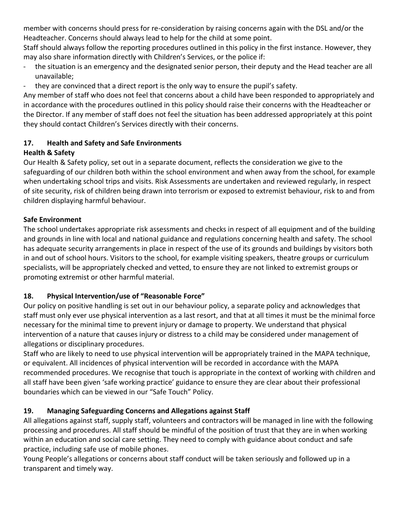member with concerns should press for re-consideration by raising concerns again with the DSL and/or the Headteacher. Concerns should always lead to help for the child at some point.

Staff should always follow the reporting procedures outlined in this policy in the first instance. However, they may also share information directly with Children's Services, or the police if:

- the situation is an emergency and the designated senior person, their deputy and the Head teacher are all unavailable;
- they are convinced that a direct report is the only way to ensure the pupil's safety.

Any member of staff who does not feel that concerns about a child have been responded to appropriately and in accordance with the procedures outlined in this policy should raise their concerns with the Headteacher or the Director. If any member of staff does not feel the situation has been addressed appropriately at this point they should contact Children's Services directly with their concerns.

#### **17. Health and Safety and Safe Environments Health & Safety**

Our Health & Safety policy, set out in a separate document, reflects the consideration we give to the safeguarding of our children both within the school environment and when away from the school, for example when undertaking school trips and visits. Risk Assessments are undertaken and reviewed regularly, in respect of site security, risk of children being drawn into terrorism or exposed to extremist behaviour, risk to and from children displaying harmful behaviour.

#### **Safe Environment**

The school undertakes appropriate risk assessments and checks in respect of all equipment and of the building and grounds in line with local and national guidance and regulations concerning health and safety. The school has adequate security arrangements in place in respect of the use of its grounds and buildings by visitors both in and out of school hours. Visitors to the school, for example visiting speakers, theatre groups or curriculum specialists, will be appropriately checked and vetted, to ensure they are not linked to extremist groups or promoting extremist or other harmful material.

#### **18. Physical Intervention/use of "Reasonable Force"**

Our policy on positive handling is set out in our behaviour policy, a separate policy and acknowledges that staff must only ever use physical intervention as a last resort, and that at all times it must be the minimal force necessary for the minimal time to prevent injury or damage to property. We understand that physical intervention of a nature that causes injury or distress to a child may be considered under management of allegations or disciplinary procedures.

Staff who are likely to need to use physical intervention will be appropriately trained in the MAPA technique, or equivalent. All incidences of physical intervention will be recorded in accordance with the MAPA recommended procedures. We recognise that touch is appropriate in the context of working with children and all staff have been given 'safe working practice' guidance to ensure they are clear about their professional boundaries which can be viewed in our "Safe Touch" Policy.

#### **19. Managing Safeguarding Concerns and Allegations against Staff**

All allegations against staff, supply staff, volunteers and contractors will be managed in line with the following processing and procedures. All staff should be mindful of the position of trust that they are in when working within an education and social care setting. They need to comply with guidance about conduct and safe practice, including safe use of mobile phones.

Young People's allegations or concerns about staff conduct will be taken seriously and followed up in a transparent and timely way.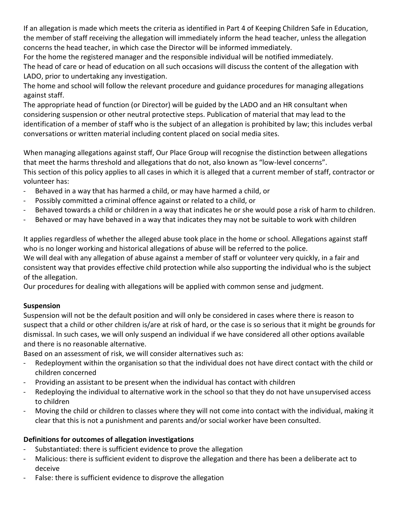If an allegation is made which meets the criteria as identified in Part 4 of Keeping Children Safe in Education, the member of staff receiving the allegation will immediately inform the head teacher, unless the allegation concerns the head teacher, in which case the Director will be informed immediately.

For the home the registered manager and the responsible individual will be notified immediately. The head of care or head of education on all such occasions will discuss the content of the allegation with LADO, prior to undertaking any investigation.

The home and school will follow the relevant procedure and guidance procedures for managing allegations against staff.

The appropriate head of function (or Director) will be guided by the LADO and an HR consultant when considering suspension or other neutral protective steps. Publication of material that may lead to the identification of a member of staff who is the subject of an allegation is prohibited by law; this includes verbal conversations or written material including content placed on social media sites.

When managing allegations against staff, Our Place Group will recognise the distinction between allegations that meet the harms threshold and allegations that do not, also known as "low-level concerns". This section of this policy applies to all cases in which it is alleged that a current member of staff, contractor or volunteer has:

- Behaved in a way that has harmed a child, or may have harmed a child, or
- Possibly committed a criminal offence against or related to a child, or
- Behaved towards a child or children in a way that indicates he or she would pose a risk of harm to children.
- Behaved or may have behaved in a way that indicates they may not be suitable to work with children

It applies regardless of whether the alleged abuse took place in the home or school. Allegations against staff who is no longer working and historical allegations of abuse will be referred to the police.

We will deal with any allegation of abuse against a member of staff or volunteer very quickly, in a fair and consistent way that provides effective child protection while also supporting the individual who is the subject of the allegation.

Our procedures for dealing with allegations will be applied with common sense and judgment.

#### **Suspension**

Suspension will not be the default position and will only be considered in cases where there is reason to suspect that a child or other children is/are at risk of hard, or the case is so serious that it might be grounds for dismissal. In such cases, we will only suspend an individual if we have considered all other options available and there is no reasonable alternative.

Based on an assessment of risk, we will consider alternatives such as:

- Redeployment within the organisation so that the individual does not have direct contact with the child or children concerned
- Providing an assistant to be present when the individual has contact with children
- Redeploying the individual to alternative work in the school so that they do not have unsupervised access to children
- Moving the child or children to classes where they will not come into contact with the individual, making it clear that this is not a punishment and parents and/or social worker have been consulted.

#### **Definitions for outcomes of allegation investigations**

- Substantiated: there is sufficient evidence to prove the allegation
- Malicious: there is sufficient evident to disprove the allegation and there has been a deliberate act to deceive
- False: there is sufficient evidence to disprove the allegation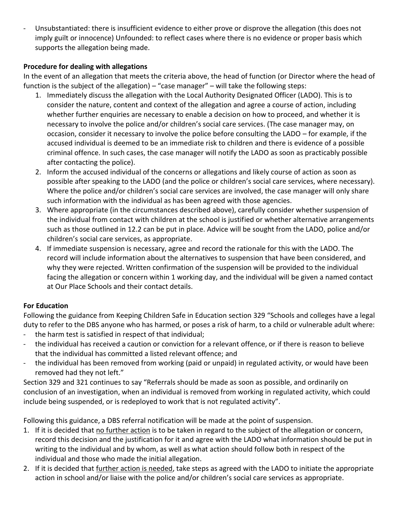Unsubstantiated: there is insufficient evidence to either prove or disprove the allegation (this does not imply guilt or innocence) Unfounded: to reflect cases where there is no evidence or proper basis which supports the allegation being made.

#### **Procedure for dealing with allegations**

In the event of an allegation that meets the criteria above, the head of function (or Director where the head of function is the subject of the allegation) – "case manager" – will take the following steps:

- 1. Immediately discuss the allegation with the Local Authority Designated Officer (LADO). This is to consider the nature, content and context of the allegation and agree a course of action, including whether further enquiries are necessary to enable a decision on how to proceed, and whether it is necessary to involve the police and/or children's social care services. (The case manager may, on occasion, consider it necessary to involve the police before consulting the LADO – for example, if the accused individual is deemed to be an immediate risk to children and there is evidence of a possible criminal offence. In such cases, the case manager will notify the LADO as soon as practicably possible after contacting the police).
- 2. Inform the accused individual of the concerns or allegations and likely course of action as soon as possible after speaking to the LADO (and the police or children's social care services, where necessary). Where the police and/or children's social care services are involved, the case manager will only share such information with the individual as has been agreed with those agencies.
- 3. Where appropriate (in the circumstances described above), carefully consider whether suspension of the individual from contact with children at the school is justified or whether alternative arrangements such as those outlined in 12.2 can be put in place. Advice will be sought from the LADO, police and/or children's social care services, as appropriate.
- 4. If immediate suspension is necessary, agree and record the rationale for this with the LADO. The record will include information about the alternatives to suspension that have been considered, and why they were rejected. Written confirmation of the suspension will be provided to the individual facing the allegation or concern within 1 working day, and the individual will be given a named contact at Our Place Schools and their contact details.

#### **For Education**

Following the guidance from Keeping Children Safe in Education section 329 "Schools and colleges have a legal duty to refer to the DBS anyone who has harmed, or poses a risk of harm, to a child or vulnerable adult where:

- the harm test is satisfied in respect of that individual;
- the individual has received a caution or conviction for a relevant offence, or if there is reason to believe that the individual has committed a listed relevant offence; and
- the individual has been removed from working (paid or unpaid) in regulated activity, or would have been removed had they not left."

Section 329 and 321 continues to say "Referrals should be made as soon as possible, and ordinarily on conclusion of an investigation, when an individual is removed from working in regulated activity, which could include being suspended, or is redeployed to work that is not regulated activity".

Following this guidance, a DBS referral notification will be made at the point of suspension.

- 1. If it is decided that no further action is to be taken in regard to the subject of the allegation or concern, record this decision and the justification for it and agree with the LADO what information should be put in writing to the individual and by whom, as well as what action should follow both in respect of the individual and those who made the initial allegation.
- 2. If it is decided that further action is needed, take steps as agreed with the LADO to initiate the appropriate action in school and/or liaise with the police and/or children's social care services as appropriate.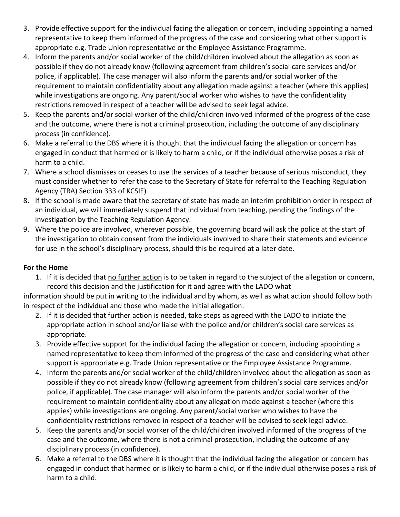- 3. Provide effective support for the individual facing the allegation or concern, including appointing a named representative to keep them informed of the progress of the case and considering what other support is appropriate e.g. Trade Union representative or the Employee Assistance Programme.
- 4. Inform the parents and/or social worker of the child/children involved about the allegation as soon as possible if they do not already know (following agreement from children's social care services and/or police, if applicable). The case manager will also inform the parents and/or social worker of the requirement to maintain confidentiality about any allegation made against a teacher (where this applies) while investigations are ongoing. Any parent/social worker who wishes to have the confidentiality restrictions removed in respect of a teacher will be advised to seek legal advice.
- 5. Keep the parents and/or social worker of the child/children involved informed of the progress of the case and the outcome, where there is not a criminal prosecution, including the outcome of any disciplinary process (in confidence).
- 6. Make a referral to the DBS where it is thought that the individual facing the allegation or concern has engaged in conduct that harmed or is likely to harm a child, or if the individual otherwise poses a risk of harm to a child.
- 7. Where a school dismisses or ceases to use the services of a teacher because of serious misconduct, they must consider whether to refer the case to the Secretary of State for referral to the Teaching Regulation Agency (TRA) Section 333 of KCSIE)
- 8. If the school is made aware that the secretary of state has made an interim prohibition order in respect of an individual, we will immediately suspend that individual from teaching, pending the findings of the investigation by the Teaching Regulation Agency.
- 9. Where the police are involved, wherever possible, the governing board will ask the police at the start of the investigation to obtain consent from the individuals involved to share their statements and evidence for use in the school's disciplinary process, should this be required at a later date.

#### **For the Home**

1. If it is decided that no further action is to be taken in regard to the subject of the allegation or concern, record this decision and the justification for it and agree with the LADO what

information should be put in writing to the individual and by whom, as well as what action should follow both in respect of the individual and those who made the initial allegation.

- 2. If it is decided that further action is needed, take steps as agreed with the LADO to initiate the appropriate action in school and/or liaise with the police and/or children's social care services as appropriate.
- 3. Provide effective support for the individual facing the allegation or concern, including appointing a named representative to keep them informed of the progress of the case and considering what other support is appropriate e.g. Trade Union representative or the Employee Assistance Programme.
- 4. Inform the parents and/or social worker of the child/children involved about the allegation as soon as possible if they do not already know (following agreement from children's social care services and/or police, if applicable). The case manager will also inform the parents and/or social worker of the requirement to maintain confidentiality about any allegation made against a teacher (where this applies) while investigations are ongoing. Any parent/social worker who wishes to have the confidentiality restrictions removed in respect of a teacher will be advised to seek legal advice.
- 5. Keep the parents and/or social worker of the child/children involved informed of the progress of the case and the outcome, where there is not a criminal prosecution, including the outcome of any disciplinary process (in confidence).
- 6. Make a referral to the DBS where it is thought that the individual facing the allegation or concern has engaged in conduct that harmed or is likely to harm a child, or if the individual otherwise poses a risk of harm to a child.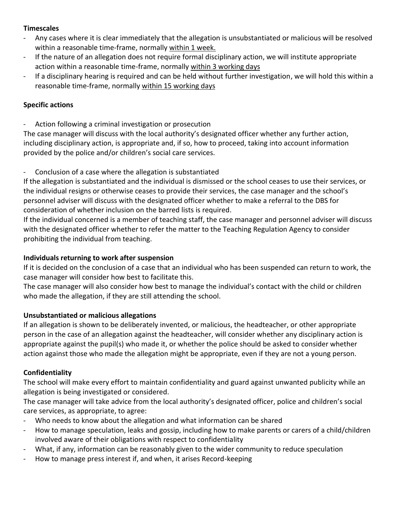#### **Timescales**

- Any cases where it is clear immediately that the allegation is unsubstantiated or malicious will be resolved within a reasonable time-frame, normally within 1 week.
- If the nature of an allegation does not require formal disciplinary action, we will institute appropriate action within a reasonable time-frame, normally within 3 working days
- If a disciplinary hearing is required and can be held without further investigation, we will hold this within a reasonable time-frame, normally within 15 working days

#### **Specific actions**

Action following a criminal investigation or prosecution

The case manager will discuss with the local authority's designated officer whether any further action, including disciplinary action, is appropriate and, if so, how to proceed, taking into account information provided by the police and/or children's social care services.

Conclusion of a case where the allegation is substantiated

If the allegation is substantiated and the individual is dismissed or the school ceases to use their services, or the individual resigns or otherwise ceases to provide their services, the case manager and the school's personnel adviser will discuss with the designated officer whether to make a referral to the DBS for consideration of whether inclusion on the barred lists is required.

If the individual concerned is a member of teaching staff, the case manager and personnel adviser will discuss with the designated officer whether to refer the matter to the Teaching Regulation Agency to consider prohibiting the individual from teaching.

#### **Individuals returning to work after suspension**

If it is decided on the conclusion of a case that an individual who has been suspended can return to work, the case manager will consider how best to facilitate this.

The case manager will also consider how best to manage the individual's contact with the child or children who made the allegation, if they are still attending the school.

#### **Unsubstantiated or malicious allegations**

If an allegation is shown to be deliberately invented, or malicious, the headteacher, or other appropriate person in the case of an allegation against the headteacher, will consider whether any disciplinary action is appropriate against the pupil(s) who made it, or whether the police should be asked to consider whether action against those who made the allegation might be appropriate, even if they are not a young person.

#### **Confidentiality**

The school will make every effort to maintain confidentiality and guard against unwanted publicity while an allegation is being investigated or considered.

The case manager will take advice from the local authority's designated officer, police and children's social care services, as appropriate, to agree:

- Who needs to know about the allegation and what information can be shared
- How to manage speculation, leaks and gossip, including how to make parents or carers of a child/children involved aware of their obligations with respect to confidentiality
- What, if any, information can be reasonably given to the wider community to reduce speculation
- How to manage press interest if, and when, it arises Record-keeping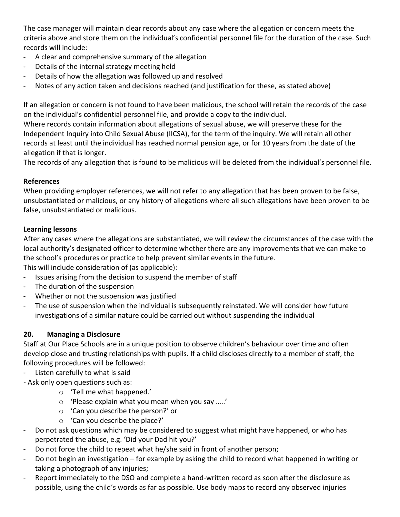The case manager will maintain clear records about any case where the allegation or concern meets the criteria above and store them on the individual's confidential personnel file for the duration of the case. Such records will include:

- A clear and comprehensive summary of the allegation
- Details of the internal strategy meeting held
- Details of how the allegation was followed up and resolved
- Notes of any action taken and decisions reached (and justification for these, as stated above)

If an allegation or concern is not found to have been malicious, the school will retain the records of the case on the individual's confidential personnel file, and provide a copy to the individual.

Where records contain information about allegations of sexual abuse, we will preserve these for the Independent Inquiry into Child Sexual Abuse (IICSA), for the term of the inquiry. We will retain all other records at least until the individual has reached normal pension age, or for 10 years from the date of the allegation if that is longer.

The records of any allegation that is found to be malicious will be deleted from the individual's personnel file.

#### **References**

When providing employer references, we will not refer to any allegation that has been proven to be false, unsubstantiated or malicious, or any history of allegations where all such allegations have been proven to be false, unsubstantiated or malicious.

#### **Learning lessons**

After any cases where the allegations are substantiated, we will review the circumstances of the case with the local authority's designated officer to determine whether there are any improvements that we can make to the school's procedures or practice to help prevent similar events in the future.

This will include consideration of (as applicable):

- Issues arising from the decision to suspend the member of staff
- The duration of the suspension
- Whether or not the suspension was justified
- The use of suspension when the individual is subsequently reinstated. We will consider how future investigations of a similar nature could be carried out without suspending the individual

#### **20. Managing a Disclosure**

Staff at Our Place Schools are in a unique position to observe children's behaviour over time and often develop close and trusting relationships with pupils. If a child discloses directly to a member of staff, the following procedures will be followed:

- Listen carefully to what is said

- Ask only open questions such as:

- o 'Tell me what happened.'
- o 'Please explain what you mean when you say …..'
- o 'Can you describe the person?' or
- o 'Can you describe the place?'
- Do not ask questions which may be considered to suggest what might have happened, or who has perpetrated the abuse, e.g. 'Did your Dad hit you?'
- Do not force the child to repeat what he/she said in front of another person;
- Do not begin an investigation for example by asking the child to record what happened in writing or taking a photograph of any injuries;
- Report immediately to the DSO and complete a hand-written record as soon after the disclosure as possible, using the child's words as far as possible. Use body maps to record any observed injuries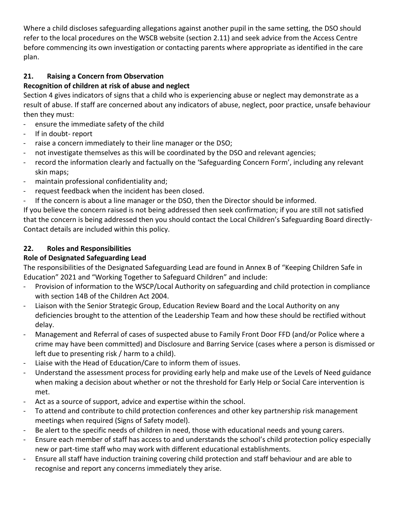Where a child discloses safeguarding allegations against another pupil in the same setting, the DSO should refer to the local procedures on the WSCB website (section 2.11) and seek advice from the Access Centre before commencing its own investigation or contacting parents where appropriate as identified in the care plan.

#### **21. Raising a Concern from Observation**

#### **Recognition of children at risk of abuse and neglect**

Section 4 gives indicators of signs that a child who is experiencing abuse or neglect may demonstrate as a result of abuse. If staff are concerned about any indicators of abuse, neglect, poor practice, unsafe behaviour then they must:

- ensure the immediate safety of the child
- If in doubt- report
- raise a concern immediately to their line manager or the DSO;
- not investigate themselves as this will be coordinated by the DSO and relevant agencies;
- record the information clearly and factually on the 'Safeguarding Concern Form', including any relevant skin maps;
- maintain professional confidentiality and;
- request feedback when the incident has been closed.
- If the concern is about a line manager or the DSO, then the Director should be informed.

If you believe the concern raised is not being addressed then seek confirmation; if you are still not satisfied that the concern is being addressed then you should contact the Local Children's Safeguarding Board directly-Contact details are included within this policy.

#### **22. Roles and Responsibilities**

#### **Role of Designated Safeguarding Lead**

The responsibilities of the Designated Safeguarding Lead are found in Annex B of "Keeping Children Safe in Education" 2021 and "Working Together to Safeguard Children" and include:

- Provision of information to the WSCP/Local Authority on safeguarding and child protection in compliance with section 14B of the Children Act 2004.
- Liaison with the Senior Strategic Group, Education Review Board and the Local Authority on any deficiencies brought to the attention of the Leadership Team and how these should be rectified without delay.
- Management and Referral of cases of suspected abuse to Family Front Door FFD (and/or Police where a crime may have been committed) and Disclosure and Barring Service (cases where a person is dismissed or left due to presenting risk / harm to a child).
- Liaise with the Head of Education/Care to inform them of issues.
- Understand the assessment process for providing early help and make use of the Levels of Need guidance when making a decision about whether or not the threshold for Early Help or Social Care intervention is met.
- Act as a source of support, advice and expertise within the school.
- To attend and contribute to child protection conferences and other key partnership risk management meetings when required (Signs of Safety model).
- Be alert to the specific needs of children in need, those with educational needs and young carers.
- Ensure each member of staff has access to and understands the school's child protection policy especially new or part-time staff who may work with different educational establishments.
- Ensure all staff have induction training covering child protection and staff behaviour and are able to recognise and report any concerns immediately they arise.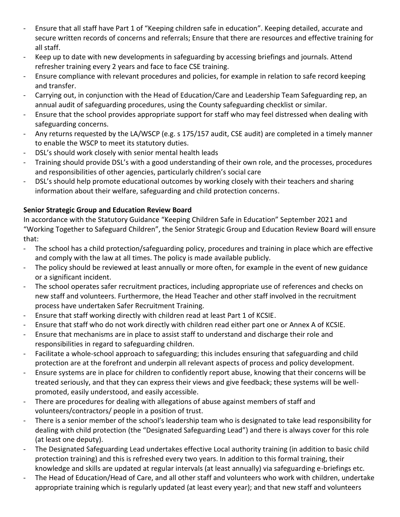- Ensure that all staff have Part 1 of "Keeping children safe in education". Keeping detailed, accurate and secure written records of concerns and referrals; Ensure that there are resources and effective training for all staff.
- Keep up to date with new developments in safeguarding by accessing briefings and journals. Attend refresher training every 2 years and face to face CSE training.
- Ensure compliance with relevant procedures and policies, for example in relation to safe record keeping and transfer.
- Carrying out, in conjunction with the Head of Education/Care and Leadership Team Safeguarding rep, an annual audit of safeguarding procedures, using the County safeguarding checklist or similar.
- Ensure that the school provides appropriate support for staff who may feel distressed when dealing with safeguarding concerns.
- Any returns requested by the LA/WSCP (e.g. s 175/157 audit, CSE audit) are completed in a timely manner to enable the WSCP to meet its statutory duties.
- DSL's should work closely with senior mental health leads
- Training should provide DSL's with a good understanding of their own role, and the processes, procedures and responsibilities of other agencies, particularly children's social care
- DSL's should help promote educational outcomes by working closely with their teachers and sharing information about their welfare, safeguarding and child protection concerns.

#### **Senior Strategic Group and Education Review Board**

In accordance with the Statutory Guidance "Keeping Children Safe in Education" September 2021 and "Working Together to Safeguard Children", the Senior Strategic Group and Education Review Board will ensure that:

- The school has a child protection/safeguarding policy, procedures and training in place which are effective and comply with the law at all times. The policy is made available publicly.
- The policy should be reviewed at least annually or more often, for example in the event of new guidance or a significant incident.
- The school operates safer recruitment practices, including appropriate use of references and checks on new staff and volunteers. Furthermore, the Head Teacher and other staff involved in the recruitment process have undertaken Safer Recruitment Training.
- Ensure that staff working directly with children read at least Part 1 of KCSIE.
- Ensure that staff who do not work directly with children read either part one or Annex A of KCSIE.
- Ensure that mechanisms are in place to assist staff to understand and discharge their role and responsibilities in regard to safeguarding children.
- Facilitate a whole-school approach to safeguarding; this includes ensuring that safeguarding and child protection are at the forefront and underpin all relevant aspects of process and policy development.
- Ensure systems are in place for children to confidently report abuse, knowing that their concerns will be treated seriously, and that they can express their views and give feedback; these systems will be wellpromoted, easily understood, and easily accessible.
- There are procedures for dealing with allegations of abuse against members of staff and volunteers/contractors/ people in a position of trust.
- There is a senior member of the school's leadership team who is designated to take lead responsibility for dealing with child protection (the "Designated Safeguarding Lead") and there is always cover for this role (at least one deputy).
- The Designated Safeguarding Lead undertakes effective Local authority training (in addition to basic child protection training) and this is refreshed every two years. In addition to this formal training, their knowledge and skills are updated at regular intervals (at least annually) via safeguarding e-briefings etc.
- The Head of Education/Head of Care, and all other staff and volunteers who work with children, undertake appropriate training which is regularly updated (at least every year); and that new staff and volunteers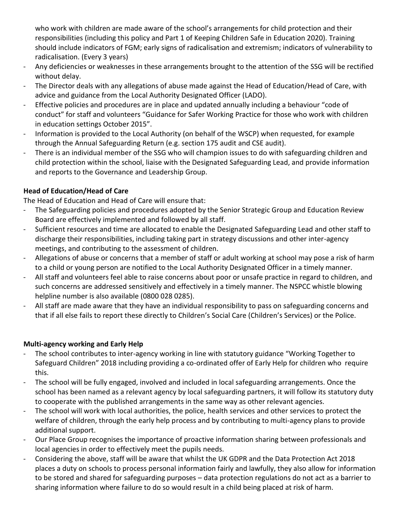who work with children are made aware of the school's arrangements for child protection and their responsibilities (including this policy and Part 1 of Keeping Children Safe in Education 2020). Training should include indicators of FGM; early signs of radicalisation and extremism; indicators of vulnerability to radicalisation. (Every 3 years)

- Any deficiencies or weaknesses in these arrangements brought to the attention of the SSG will be rectified without delay.
- The Director deals with any allegations of abuse made against the Head of Education/Head of Care, with advice and guidance from the Local Authority Designated Officer (LADO).
- Effective policies and procedures are in place and updated annually including a behaviour "code of conduct" for staff and volunteers "Guidance for Safer Working Practice for those who work with children in education settings October 2015".
- Information is provided to the Local Authority (on behalf of the WSCP) when requested, for example through the Annual Safeguarding Return (e.g. section 175 audit and CSE audit).
- There is an individual member of the SSG who will champion issues to do with safeguarding children and child protection within the school, liaise with the Designated Safeguarding Lead, and provide information and reports to the Governance and Leadership Group.

#### **Head of Education/Head of Care**

The Head of Education and Head of Care will ensure that:

- The Safeguarding policies and procedures adopted by the Senior Strategic Group and Education Review Board are effectively implemented and followed by all staff.
- Sufficient resources and time are allocated to enable the Designated Safeguarding Lead and other staff to discharge their responsibilities, including taking part in strategy discussions and other inter-agency meetings, and contributing to the assessment of children.
- Allegations of abuse or concerns that a member of staff or adult working at school may pose a risk of harm to a child or young person are notified to the Local Authority Designated Officer in a timely manner.
- All staff and volunteers feel able to raise concerns about poor or unsafe practice in regard to children, and such concerns are addressed sensitively and effectively in a timely manner. The NSPCC whistle blowing helpline number is also available (0800 028 0285).
- All staff are made aware that they have an individual responsibility to pass on safeguarding concerns and that if all else fails to report these directly to Children's Social Care (Children's Services) or the Police.

#### **Multi-agency working and Early Help**

- The school contributes to inter-agency working in line with statutory guidance "Working Together to Safeguard Children" 2018 including providing a co-ordinated offer of Early Help for children who require this.
- The school will be fully engaged, involved and included in local safeguarding arrangements. Once the school has been named as a relevant agency by local safeguarding partners, it will follow its statutory duty to cooperate with the published arrangements in the same way as other relevant agencies.
- The school will work with local authorities, the police, health services and other services to protect the welfare of children, through the early help process and by contributing to multi-agency plans to provide additional support.
- Our Place Group recognises the importance of proactive information sharing between professionals and local agencies in order to effectively meet the pupils needs.
- Considering the above, staff will be aware that whilst the UK GDPR and the Data Protection Act 2018 places a duty on schools to process personal information fairly and lawfully, they also allow for information to be stored and shared for safeguarding purposes – data protection regulations do not act as a barrier to sharing information where failure to do so would result in a child being placed at risk of harm.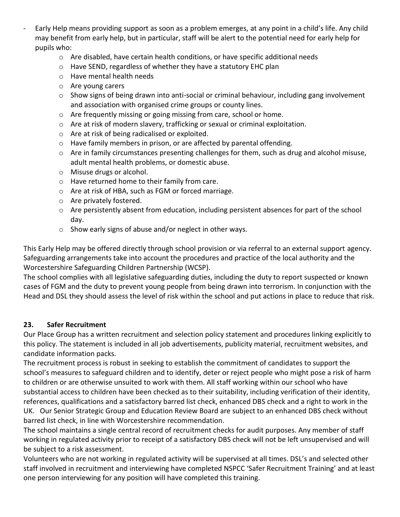- Early Help means providing support as soon as a problem emerges, at any point in a child's life. Any child may benefit from early help, but in particular, staff will be alert to the potential need for early help for pupils who:
	- o Are disabled, have certain health conditions, or have specific additional needs
	- o Have SEND, regardless of whether they have a statutory EHC plan
	- o Have mental health needs
	- o Are young carers
	- $\circ$  Show signs of being drawn into anti-social or criminal behaviour, including gang involvement and association with organised crime groups or county lines.
	- o Are frequently missing or going missing from care, school or home.
	- $\circ$  Are at risk of modern slavery, trafficking or sexual or criminal exploitation.
	- o Are at risk of being radicalised or exploited.
	- o Have family members in prison, or are affected by parental offending.
	- $\circ$  Are in family circumstances presenting challenges for them, such as drug and alcohol misuse, adult mental health problems, or domestic abuse.
	- o Misuse drugs or alcohol.
	- o Have returned home to their family from care.
	- o Are at risk of HBA, such as FGM or forced marriage.
	- o Are privately fostered.
	- $\circ$  Are persistently absent from education, including persistent absences for part of the school day.
	- o Show early signs of abuse and/or neglect in other ways.

This Early Help may be offered directly through school provision or via referral to an external support agency. Safeguarding arrangements take into account the procedures and practice of the local authority and the Worcestershire Safeguarding Children Partnership (WCSP).

The school complies with all legislative safeguarding duties, including the duty to report suspected or known cases of FGM and the duty to prevent young people from being drawn into terrorism. In conjunction with the Head and DSL they should assess the level of risk within the school and put actions in place to reduce that risk.

#### **23. Safer Recruitment**

Our Place Group has a written recruitment and selection policy statement and procedures linking explicitly to this policy. The statement is included in all job advertisements, publicity material, recruitment websites, and candidate information packs.

The recruitment process is robust in seeking to establish the commitment of candidates to support the school's measures to safeguard children and to identify, deter or reject people who might pose a risk of harm to children or are otherwise unsuited to work with them. All staff working within our school who have substantial access to children have been checked as to their suitability, including verification of their identity, references, qualifications and a satisfactory barred list check, enhanced DBS check and a right to work in the UK. Our Senior Strategic Group and Education Review Board are subject to an enhanced DBS check without barred list check, in line with Worcestershire recommendation.

The school maintains a single central record of recruitment checks for audit purposes. Any member of staff working in regulated activity prior to receipt of a satisfactory DBS check will not be left unsupervised and will be subject to a risk assessment.

Volunteers who are not working in regulated activity will be supervised at all times. DSL's and selected other staff involved in recruitment and interviewing have completed NSPCC 'Safer Recruitment Training' and at least one person interviewing for any position will have completed this training.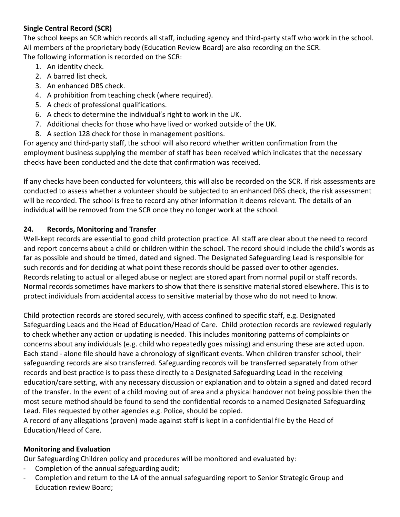#### **Single Central Record (SCR)**

The school keeps an SCR which records all staff, including agency and third-party staff who work in the school. All members of the proprietary body (Education Review Board) are also recording on the SCR. The following information is recorded on the SCR:

- 1. An identity check.
- 2. A barred list check.
- 3. An enhanced DBS check.
- 4. A prohibition from teaching check (where required).
- 5. A check of professional qualifications.
- 6. A check to determine the individual's right to work in the UK.
- 7. Additional checks for those who have lived or worked outside of the UK.
- 8. A section 128 check for those in management positions.

For agency and third-party staff, the school will also record whether written confirmation from the employment business supplying the member of staff has been received which indicates that the necessary checks have been conducted and the date that confirmation was received.

If any checks have been conducted for volunteers, this will also be recorded on the SCR. If risk assessments are conducted to assess whether a volunteer should be subjected to an enhanced DBS check, the risk assessment will be recorded. The school is free to record any other information it deems relevant. The details of an individual will be removed from the SCR once they no longer work at the school.

#### **24. Records, Monitoring and Transfer**

Well-kept records are essential to good child protection practice. All staff are clear about the need to record and report concerns about a child or children within the school. The record should include the child's words as far as possible and should be timed, dated and signed. The Designated Safeguarding Lead is responsible for such records and for deciding at what point these records should be passed over to other agencies. Records relating to actual or alleged abuse or neglect are stored apart from normal pupil or staff records. Normal records sometimes have markers to show that there is sensitive material stored elsewhere. This is to protect individuals from accidental access to sensitive material by those who do not need to know.

Child protection records are stored securely, with access confined to specific staff, e.g. Designated Safeguarding Leads and the Head of Education/Head of Care. Child protection records are reviewed regularly to check whether any action or updating is needed. This includes monitoring patterns of complaints or concerns about any individuals (e.g. child who repeatedly goes missing) and ensuring these are acted upon. Each stand - alone file should have a chronology of significant events. When children transfer school, their safeguarding records are also transferred. Safeguarding records will be transferred separately from other records and best practice is to pass these directly to a Designated Safeguarding Lead in the receiving education/care setting, with any necessary discussion or explanation and to obtain a signed and dated record of the transfer. In the event of a child moving out of area and a physical handover not being possible then the most secure method should be found to send the confidential records to a named Designated Safeguarding Lead. Files requested by other agencies e.g. Police, should be copied.

A record of any allegations (proven) made against staff is kept in a confidential file by the Head of Education/Head of Care.

#### **Monitoring and Evaluation**

Our Safeguarding Children policy and procedures will be monitored and evaluated by:

- Completion of the annual safeguarding audit;
- Completion and return to the LA of the annual safeguarding report to Senior Strategic Group and Education review Board;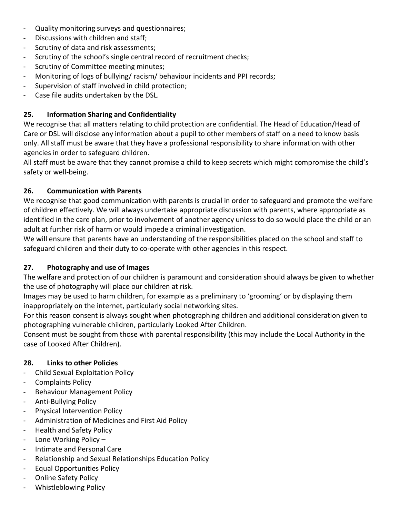- Quality monitoring surveys and questionnaires;
- Discussions with children and staff;
- Scrutiny of data and risk assessments;
- Scrutiny of the school's single central record of recruitment checks;
- Scrutiny of Committee meeting minutes;
- Monitoring of logs of bullying/ racism/ behaviour incidents and PPI records;
- Supervision of staff involved in child protection;
- Case file audits undertaken by the DSL.

#### **25. Information Sharing and Confidentiality**

We recognise that all matters relating to child protection are confidential. The Head of Education/Head of Care or DSL will disclose any information about a pupil to other members of staff on a need to know basis only. All staff must be aware that they have a professional responsibility to share information with other agencies in order to safeguard children.

All staff must be aware that they cannot promise a child to keep secrets which might compromise the child's safety or well-being.

#### **26. Communication with Parents**

We recognise that good communication with parents is crucial in order to safeguard and promote the welfare of children effectively. We will always undertake appropriate discussion with parents, where appropriate as identified in the care plan, prior to involvement of another agency unless to do so would place the child or an adult at further risk of harm or would impede a criminal investigation.

We will ensure that parents have an understanding of the responsibilities placed on the school and staff to safeguard children and their duty to co-operate with other agencies in this respect.

#### **27. Photography and use of Images**

The welfare and protection of our children is paramount and consideration should always be given to whether the use of photography will place our children at risk.

Images may be used to harm children, for example as a preliminary to 'grooming' or by displaying them inappropriately on the internet, particularly social networking sites.

For this reason consent is always sought when photographing children and additional consideration given to photographing vulnerable children, particularly Looked After Children.

Consent must be sought from those with parental responsibility (this may include the Local Authority in the case of Looked After Children).

#### **28. Links to other Policies**

- Child Sexual Exploitation Policy
- Complaints Policy
- Behaviour Management Policy
- Anti-Bullying Policy
- Physical Intervention Policy
- Administration of Medicines and First Aid Policy
- Health and Safety Policy
- Lone Working Policy  $-$
- Intimate and Personal Care
- Relationship and Sexual Relationships Education Policy
- Equal Opportunities Policy
- Online Safety Policy
- Whistleblowing Policy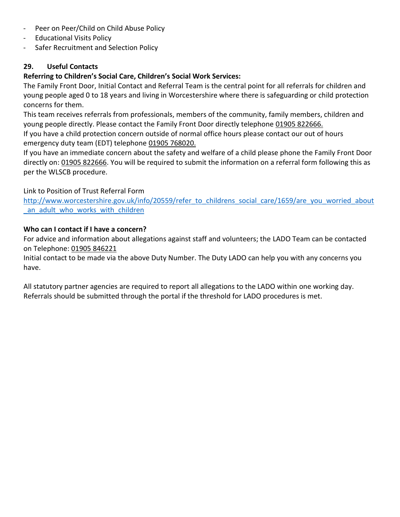- Peer on Peer/Child on Child Abuse Policy
- Educational Visits Policy
- Safer Recruitment and Selection Policy

#### **29. Useful Contacts**

#### **Referring to Children's Social Care, Children's Social Work Services:**

The Family Front Door, Initial Contact and Referral Team is the central point for all referrals for children and young people aged 0 to 18 years and living in Worcestershire where there is safeguarding or child protection concerns for them.

This team receives referrals from professionals, members of the community, family members, children and young people directly. Please contact the Family Front Door directly telephone 01905 822666.

If you have a child protection concern outside of normal office hours please contact our out of hours emergency duty team (EDT) telephone 01905 768020.

If you have an immediate concern about the safety and welfare of a child please phone the Family Front Door directly on: 01905 822666. You will be required to submit the information on a referral form following this as per the WLSCB procedure.

Link to Position of Trust Referral Form

[http://www.worcestershire.gov.uk/info/20559/refer\\_to\\_childrens\\_social\\_care/1659/are\\_you\\_worried\\_about](http://www.worcestershire.gov.uk/info/20559/refer_to_childrens_social_care/1659/are_you_worried_about_an_adult_who_works_with_children) an adult who works with children

#### **Who can I contact if I have a concern?**

For advice and information about allegations against staff and volunteers; the LADO Team can be contacted on Telephone: 01905 846221

Initial contact to be made via the above Duty Number. The Duty LADO can help you with any concerns you have.

All statutory partner agencies are required to report all allegations to the LADO within one working day. Referrals should be submitted through the portal if the threshold for LADO procedures is met.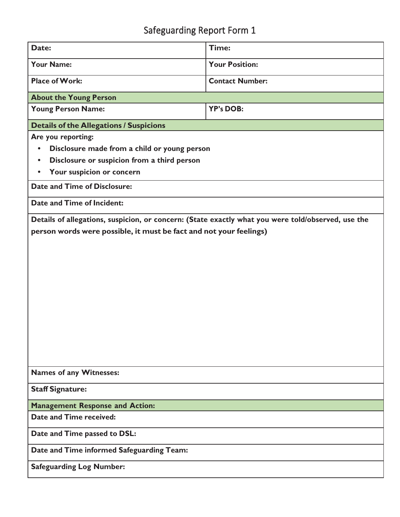| Date:                                                                                              | Time:                  |  |  |
|----------------------------------------------------------------------------------------------------|------------------------|--|--|
| <b>Your Name:</b>                                                                                  | <b>Your Position:</b>  |  |  |
| <b>Place of Work:</b>                                                                              | <b>Contact Number:</b> |  |  |
| <b>About the Young Person</b>                                                                      |                        |  |  |
| <b>Young Person Name:</b>                                                                          | <b>YP's DOB:</b>       |  |  |
| <b>Details of the Allegations / Suspicions</b>                                                     |                        |  |  |
| Are you reporting:                                                                                 |                        |  |  |
| Disclosure made from a child or young person<br>$\bullet$                                          |                        |  |  |
| Disclosure or suspicion from a third person<br>$\bullet$                                           |                        |  |  |
| Your suspicion or concern<br>$\bullet$                                                             |                        |  |  |
| <b>Date and Time of Disclosure:</b>                                                                |                        |  |  |
| Date and Time of Incident:                                                                         |                        |  |  |
| Details of allegations, suspicion, or concern: (State exactly what you were told/observed, use the |                        |  |  |
| person words were possible, it must be fact and not your feelings)                                 |                        |  |  |
|                                                                                                    |                        |  |  |
|                                                                                                    |                        |  |  |
|                                                                                                    |                        |  |  |
|                                                                                                    |                        |  |  |
|                                                                                                    |                        |  |  |
|                                                                                                    |                        |  |  |
|                                                                                                    |                        |  |  |
|                                                                                                    |                        |  |  |
|                                                                                                    |                        |  |  |
|                                                                                                    |                        |  |  |
|                                                                                                    |                        |  |  |
| <b>Names of any Witnesses:</b>                                                                     |                        |  |  |
| <b>Staff Signature:</b>                                                                            |                        |  |  |
| <b>Management Response and Action:</b>                                                             |                        |  |  |
| Date and Time received:                                                                            |                        |  |  |
| Date and Time passed to DSL:                                                                       |                        |  |  |
| Date and Time informed Safeguarding Team:                                                          |                        |  |  |
| <b>Safeguarding Log Number:</b>                                                                    |                        |  |  |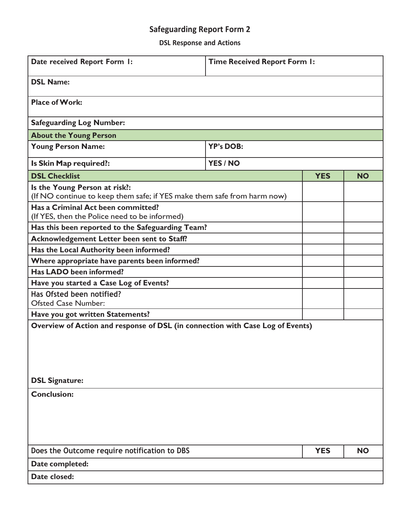**DSL Response and Actions**

| Date received Report Form I:                                                                                                                                                                    | <b>Time Received Report Form I:</b> |            |           |  |
|-------------------------------------------------------------------------------------------------------------------------------------------------------------------------------------------------|-------------------------------------|------------|-----------|--|
| <b>DSL Name:</b>                                                                                                                                                                                |                                     |            |           |  |
| <b>Place of Work:</b>                                                                                                                                                                           |                                     |            |           |  |
| <b>Safeguarding Log Number:</b>                                                                                                                                                                 |                                     |            |           |  |
| <b>About the Young Person</b>                                                                                                                                                                   |                                     |            |           |  |
| <b>Young Person Name:</b>                                                                                                                                                                       | <b>YP's DOB:</b>                    |            |           |  |
| Is Skin Map required?:                                                                                                                                                                          | YES / NO                            |            |           |  |
| <b>DSL Checklist</b>                                                                                                                                                                            |                                     | <b>YES</b> | <b>NO</b> |  |
| Is the Young Person at risk?:<br>(If NO continue to keep them safe; if YES make them safe from harm now)<br>Has a Criminal Act been committed?<br>(If YES, then the Police need to be informed) |                                     |            |           |  |
| Has this been reported to the Safeguarding Team?                                                                                                                                                |                                     |            |           |  |
| Acknowledgement Letter been sent to Staff?                                                                                                                                                      |                                     |            |           |  |
| Has the Local Authority been informed?                                                                                                                                                          |                                     |            |           |  |
| Where appropriate have parents been informed?                                                                                                                                                   |                                     |            |           |  |
| Has LADO been informed?                                                                                                                                                                         |                                     |            |           |  |
| Have you started a Case Log of Events?                                                                                                                                                          |                                     |            |           |  |
| Has Ofsted been notified?<br><b>Ofsted Case Number:</b>                                                                                                                                         |                                     |            |           |  |
| Have you got written Statements?                                                                                                                                                                |                                     |            |           |  |
| Overview of Action and response of DSL (in connection with Case Log of Events)                                                                                                                  |                                     |            |           |  |
| <b>DSL Signature:</b>                                                                                                                                                                           |                                     |            |           |  |
| <b>Conclusion:</b>                                                                                                                                                                              |                                     |            |           |  |
| Does the Outcome require notification to DBS                                                                                                                                                    |                                     | <b>YES</b> | <b>NO</b> |  |
| Date completed:                                                                                                                                                                                 |                                     |            |           |  |
| Date closed:                                                                                                                                                                                    |                                     |            |           |  |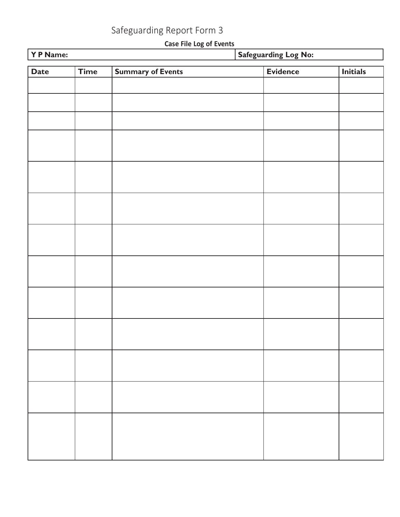**Case File Log of Events**

| Y P Name:   |             |                          | Safeguarding Log No: |                 |  |
|-------------|-------------|--------------------------|----------------------|-----------------|--|
| <b>Date</b> | <b>Time</b> | <b>Summary of Events</b> | <b>Evidence</b>      | <b>Initials</b> |  |
|             |             |                          |                      |                 |  |
|             |             |                          |                      |                 |  |
|             |             |                          |                      |                 |  |
|             |             |                          |                      |                 |  |
|             |             |                          |                      |                 |  |
|             |             |                          |                      |                 |  |
|             |             |                          |                      |                 |  |
|             |             |                          |                      |                 |  |
|             |             |                          |                      |                 |  |
|             |             |                          |                      |                 |  |
|             |             |                          |                      |                 |  |
|             |             |                          |                      |                 |  |
|             |             |                          |                      |                 |  |
|             |             |                          |                      |                 |  |
|             |             |                          |                      |                 |  |
|             |             |                          |                      |                 |  |
|             |             |                          |                      |                 |  |
|             |             |                          |                      |                 |  |
|             |             |                          |                      |                 |  |
|             |             |                          |                      |                 |  |
|             |             |                          |                      |                 |  |
|             |             |                          |                      |                 |  |